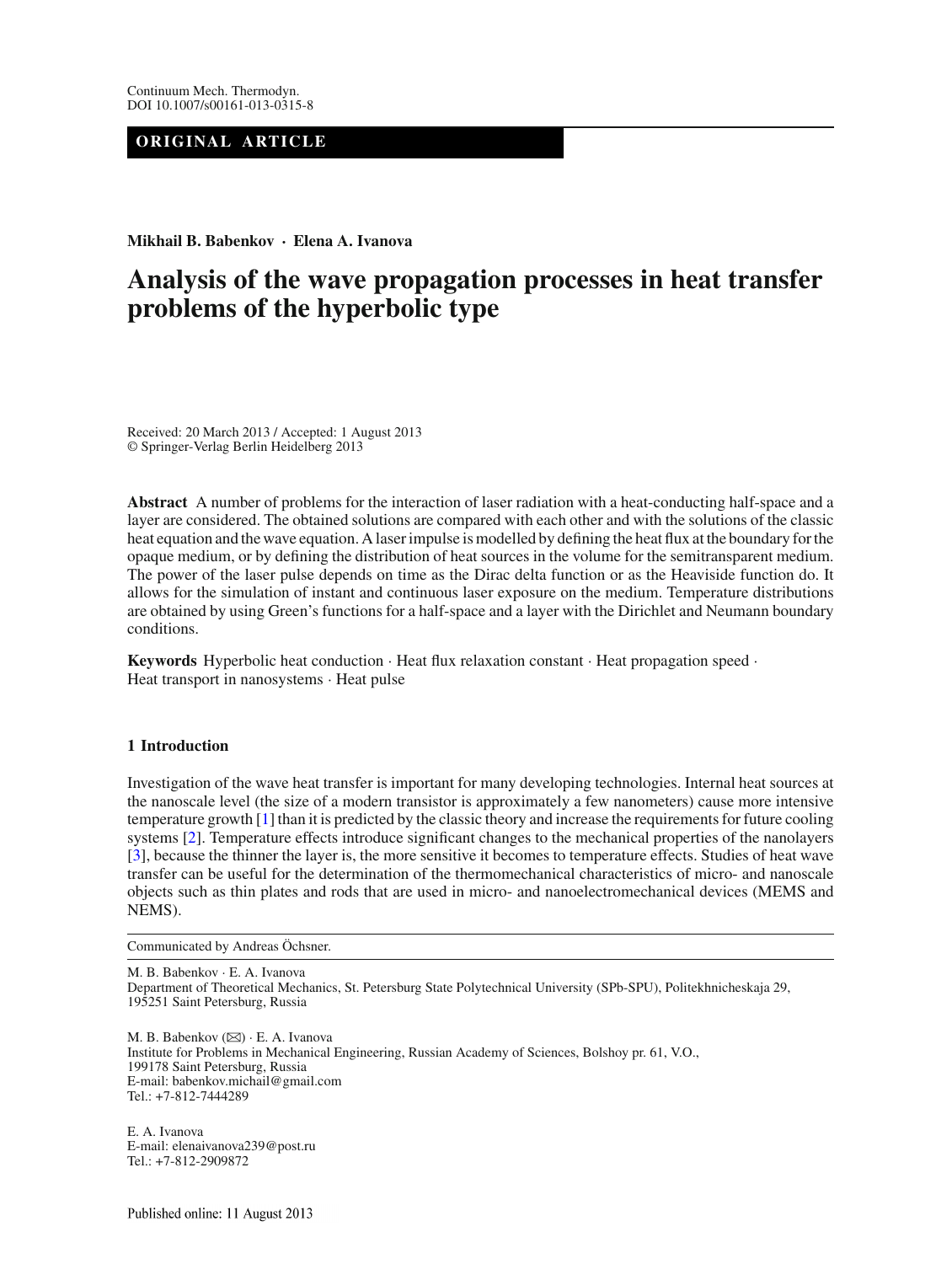## **ORIGINAL ARTICLE**

**Mikhail B. Babenkov · Elena A. Ivanova**

# **Analysis of the wave propagation processes in heat transfer problems of the hyperbolic type**

Received: 20 March 2013 / Accepted: 1 August 2013 © Springer-Verlag Berlin Heidelberg 2013

**Abstract** A number of problems for the interaction of laser radiation with a heat-conducting half-space and a layer are considered. The obtained solutions are compared with each other and with the solutions of the classic heat equation and the wave equation. A laser impulse is modelled by defining the heat flux at the boundary for the opaque medium, or by defining the distribution of heat sources in the volume for the semitransparent medium. The power of the laser pulse depends on time as the Dirac delta function or as the Heaviside function do. It allows for the simulation of instant and continuous laser exposure on the medium. Temperature distributions are obtained by using Green's functions for a half-space and a layer with the Dirichlet and Neumann boundary conditions.

**Keywords** Hyperbolic heat conduction · Heat flux relaxation constant · Heat propagation speed · Heat transport in nanosystems · Heat pulse

## **1 Introduction**

Investigation of the wave heat transfer is important for many developing technologies. Internal heat sources at the nanoscale level (the size of a modern transistor is approximately a few nanometers) cause more intensive temperature growth [\[1\]](#page-18-0) than it is predicted by the classic theory and increase the requirements for future cooling systems [\[2\]](#page-18-1). Temperature effects introduce significant changes to the mechanical properties of the nanolayers [\[3](#page-18-2)], because the thinner the layer is, the more sensitive it becomes to temperature effects. Studies of heat wave transfer can be useful for the determination of the thermomechanical characteristics of micro- and nanoscale objects such as thin plates and rods that are used in micro- and nanoelectromechanical devices (MEMS and NEMS).

Communicated by Andreas Öchsner.

M. B. Babenkov · E. A. Ivanova Department of Theoretical Mechanics, St. Petersburg State Polytechnical University (SPb-SPU), Politekhnicheskaja 29, 195251 Saint Petersburg, Russia

M. B. Babenkov (⊠) · E. A. Ivanova Institute for Problems in Mechanical Engineering, Russian Academy of Sciences, Bolshoy pr. 61, V.O., 199178 Saint Petersburg, Russia E-mail: babenkov.michail@gmail.com Tel.: +7-812-7444289

E. A. Ivanova E-mail: elenaivanova239@post.ru Tel.: +7-812-2909872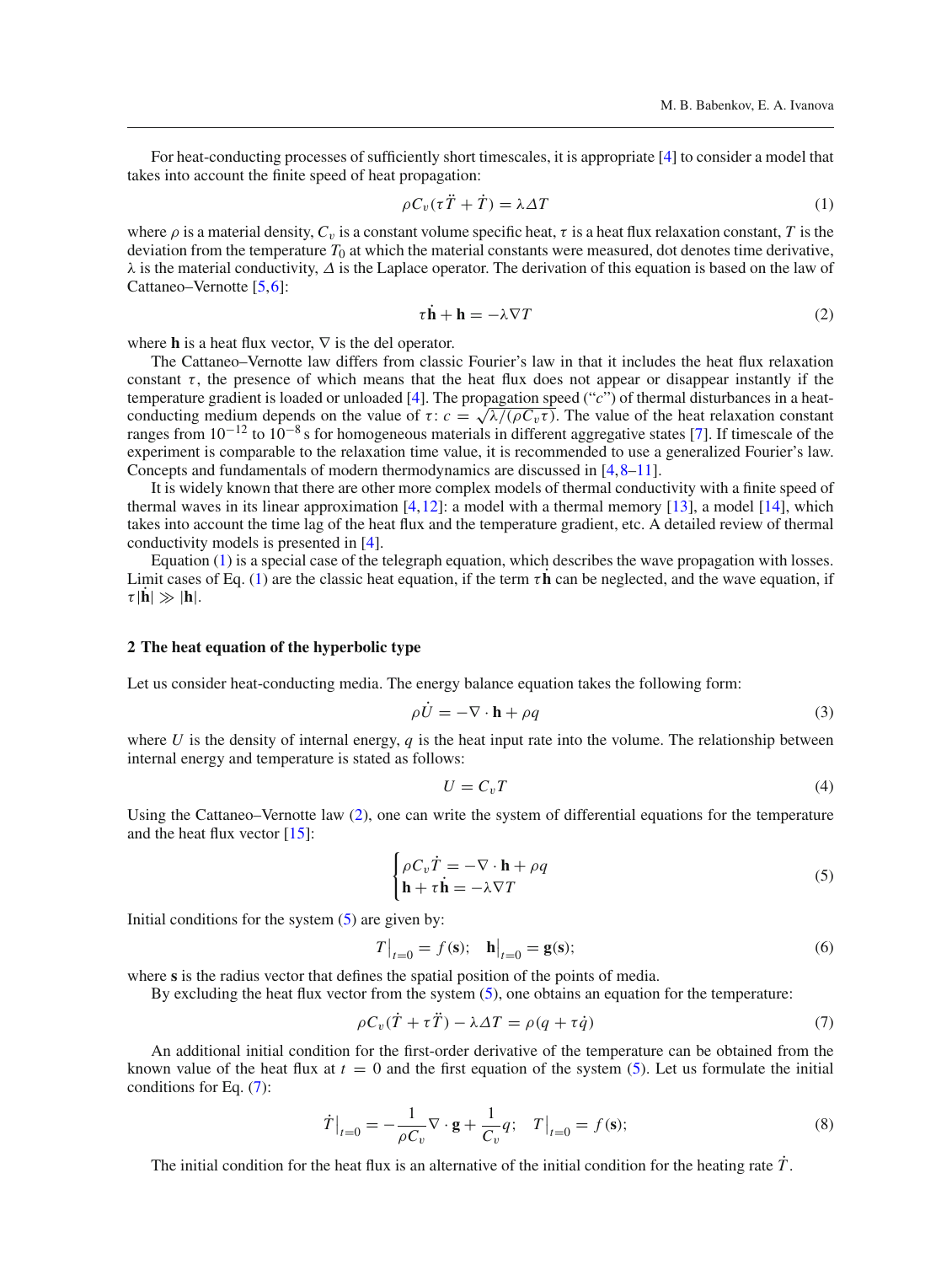For heat-conducting processes of sufficiently short timescales, it is appropriate [\[4](#page-18-3)] to consider a model that takes into account the finite speed of heat propagation:

<span id="page-1-0"></span>
$$
\rho C_v(\tau \ddot{T} + \dot{T}) = \lambda \Delta T \tag{1}
$$

where  $\rho$  is a material density,  $C_v$  is a constant volume specific heat,  $\tau$  is a heat flux relaxation constant, *T* is the deviation from the temperature *T*<sup>0</sup> at which the material constants were measured, dot denotes time derivative,  $\lambda$  is the material conductivity,  $\Delta$  is the Laplace operator. The derivation of this equation is based on the law of Cattaneo–Vernotte [\[5](#page-18-4),[6\]](#page-18-5):

<span id="page-1-1"></span>
$$
\tau \dot{\mathbf{h}} + \mathbf{h} = -\lambda \nabla T \tag{2}
$$

where **h** is a heat flux vector,  $\nabla$  is the del operator.

The Cattaneo–Vernotte law differs from classic Fourier's law in that it includes the heat flux relaxation constant  $\tau$ , the presence of which means that the heat flux does not appear or disappear instantly if the temperature gradient is loaded or unloaded [\[4\]](#page-18-3). The propagation speed ("*c*") of thermal disturbances in a heatconducting medium depends on the value of  $\tau$ :  $c = \sqrt{\lambda/(\rho C_v \tau)}$ . The value of the heat relaxation constant ranges from 10−<sup>12</sup> to 10−<sup>8</sup> s for homogeneous materials in different aggregative states [\[7](#page-18-6)]. If timescale of the experiment is comparable to the relaxation time value, it is recommended to use a generalized Fourier's law. Concepts and fundamentals of modern thermodynamics are discussed in [\[4](#page-18-3)[,8](#page-18-7)[–11](#page-19-0)].

It is widely known that there are other more complex models of thermal conductivity with a finite speed of thermal waves in its linear approximation  $[4,12]$  $[4,12]$  $[4,12]$ : a model with a thermal memory  $[13]$ , a model  $[14]$  $[14]$ , which takes into account the time lag of the heat flux and the temperature gradient, etc. A detailed review of thermal conductivity models is presented in [\[4](#page-18-3)].

Equation [\(1\)](#page-1-0) is a special case of the telegraph equation, which describes the wave propagation with losses. Limit cases of Eq. [\(1\)](#page-1-0) are the classic heat equation, if the term  $\tau \mathbf{h}$  can be neglected, and the wave equation, if  $\tau$ **|h**| $\gg$ **|h**|.

## **2 The heat equation of the hyperbolic type**

Let us consider heat-conducting media. The energy balance equation takes the following form:

$$
\rho \dot{U} = -\nabla \cdot \mathbf{h} + \rho q \tag{3}
$$

where  $U$  is the density of internal energy,  $q$  is the heat input rate into the volume. The relationship between internal energy and temperature is stated as follows:

$$
U = C_v T \tag{4}
$$

Using the Cattaneo–Vernotte law [\(2\)](#page-1-1), one can write the system of differential equations for the temperature and the heat flux vector [\[15\]](#page-19-4):

<span id="page-1-2"></span>
$$
\begin{cases}\n\rho C_v \dot{T} = -\nabla \cdot \mathbf{h} + \rho q \\
\mathbf{h} + \tau \dot{\mathbf{h}} = -\lambda \nabla T\n\end{cases}
$$
\n(5)

Initial conditions for the system  $(5)$  are given by:

$$
T\big|_{t=0} = f(s); \quad \mathbf{h}\big|_{t=0} = \mathbf{g(s)};
$$
 (6)

where **s** is the radius vector that defines the spatial position of the points of media.

<span id="page-1-3"></span>By excluding the heat flux vector from the system [\(5\)](#page-1-2), one obtains an equation for the temperature:

$$
\rho C_v(\dot{T} + \tau \ddot{T}) - \lambda \Delta T = \rho (q + \tau \dot{q}) \tag{7}
$$

An additional initial condition for the first-order derivative of the temperature can be obtained from the known value of the heat flux at  $t = 0$  and the first equation of the system [\(5\)](#page-1-2). Let us formulate the initial conditions for Eq. [\(7\)](#page-1-3):

$$
\dot{T}\big|_{t=0} = -\frac{1}{\rho C_v} \nabla \cdot \mathbf{g} + \frac{1}{C_v} q; \quad T\big|_{t=0} = f(\mathbf{s});\tag{8}
$$

<span id="page-1-4"></span>The initial condition for the heat flux is an alternative of the initial condition for the heating rate  $\ddot{T}$ .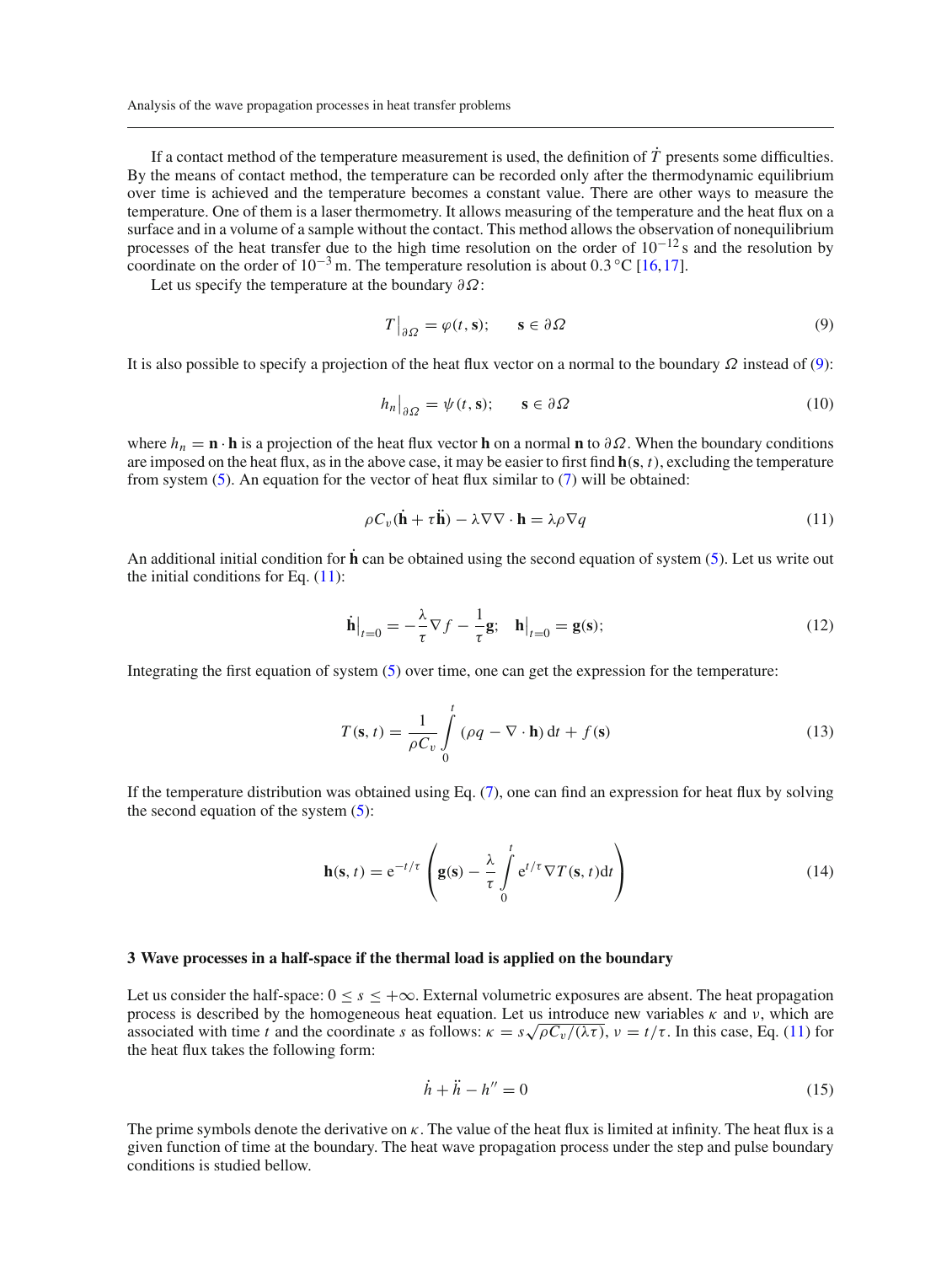Analysis of the wave propagation processes in heat transfer problems

If a contact method of the temperature measurement is used, the definition of  $\dot{T}$  presents some difficulties. By the means of contact method, the temperature can be recorded only after the thermodynamic equilibrium over time is achieved and the temperature becomes a constant value. There are other ways to measure the temperature. One of them is a laser thermometry. It allows measuring of the temperature and the heat flux on a surface and in a volume of a sample without the contact. This method allows the observation of nonequilibrium processes of the heat transfer due to the high time resolution on the order of 10−<sup>12</sup> s and the resolution by coordinate on the order of  $10^{-3}$  m. The temperature resolution is about 0.3 °C [\[16,](#page-19-5)[17](#page-19-6)].

Let us specify the temperature at the boundary  $\partial \Omega$ :

<span id="page-2-0"></span>
$$
T\big|_{\partial\Omega} = \varphi(t, \mathbf{s}); \qquad \mathbf{s} \in \partial\Omega \tag{9}
$$

It is also possible to specify a projection of the heat flux vector on a normal to the boundary  $\Omega$  instead of [\(9\)](#page-2-0):

$$
h_n|_{\partial\Omega} = \psi(t, \mathbf{s}); \qquad \mathbf{s} \in \partial\Omega \tag{10}
$$

where  $h_n = \mathbf{n} \cdot \mathbf{h}$  is a projection of the heat flux vector **h** on a normal **n** to  $\partial \Omega$ . When the boundary conditions are imposed on the heat flux, as in the above case, it may be easier to first find **h**(**s**, *t*), excluding the temperature from system [\(5\)](#page-1-2). An equation for the vector of heat flux similar to [\(7\)](#page-1-3) will be obtained:

<span id="page-2-1"></span>
$$
\rho C_v(\mathbf{h} + \tau \mathbf{h}) - \lambda \nabla \nabla \cdot \mathbf{h} = \lambda \rho \nabla q \tag{11}
$$

An additional initial condition for **h** can be obtained using the second equation of system [\(5\)](#page-1-2). Let us write out the initial conditions for Eq.  $(11)$ :

$$
\dot{\mathbf{h}}\big|_{t=0} = -\frac{\lambda}{\tau} \nabla f - \frac{1}{\tau} \mathbf{g}; \quad \mathbf{h}\big|_{t=0} = \mathbf{g}(\mathbf{s});\tag{12}
$$

<span id="page-2-4"></span><span id="page-2-2"></span>Integrating the first equation of system [\(5\)](#page-1-2) over time, one can get the expression for the temperature:

$$
T(\mathbf{s}, t) = \frac{1}{\rho C_v} \int\limits_0^t (\rho q - \nabla \cdot \mathbf{h}) dt + f(\mathbf{s})
$$
 (13)

If the temperature distribution was obtained using Eq. [\(7\)](#page-1-3), one can find an expression for heat flux by solving the second equation of the system  $(5)$ :

<span id="page-2-5"></span>
$$
\mathbf{h}(\mathbf{s},t) = e^{-t/\tau} \left( \mathbf{g}(\mathbf{s}) - \frac{\lambda}{\tau} \int_{0}^{t} e^{t/\tau} \nabla T(\mathbf{s},t) dt \right)
$$
(14)

## **3 Wave processes in a half-space if the thermal load is applied on the boundary**

Let us consider the half-space:  $0 \le s \le +\infty$ . External volumetric exposures are absent. The heat propagation process is described by the homogeneous heat equation. Let us introduce new variables  $\kappa$  and  $\nu$ , which are associated with time *t* and the coordinate *s* as follows:  $\kappa = s\sqrt{\rho C_v/(\lambda \tau)}$ ,  $\nu = t/\tau$ . In this case, Eq. [\(11\)](#page-2-1) for the heat flux takes the following form:

<span id="page-2-3"></span>
$$
\dot{h} + \ddot{h} - h'' = 0 \tag{15}
$$

The prime symbols denote the derivative on  $\kappa$ . The value of the heat flux is limited at infinity. The heat flux is a given function of time at the boundary. The heat wave propagation process under the step and pulse boundary conditions is studied bellow.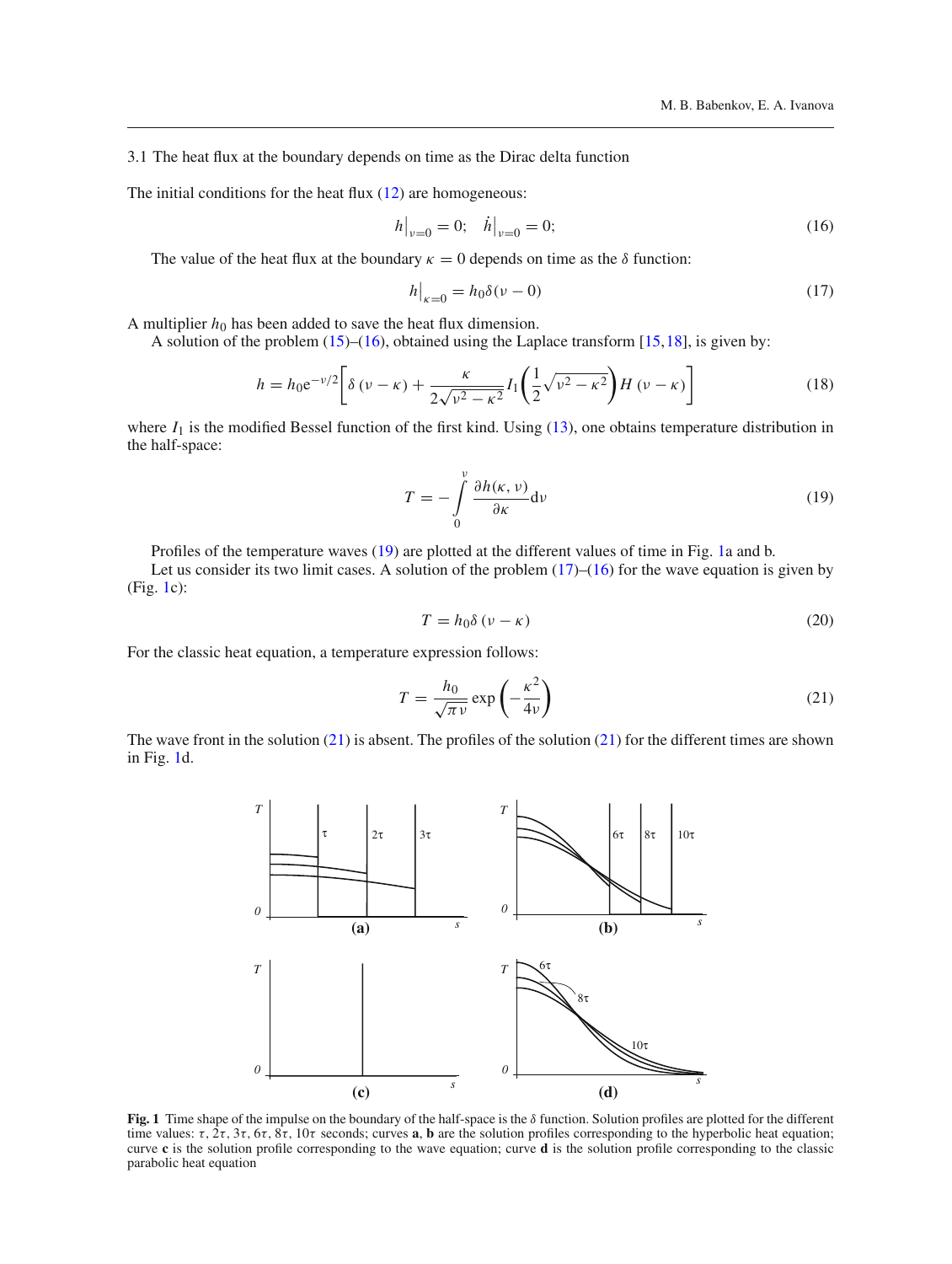3.1 The heat flux at the boundary depends on time as the Dirac delta function

The initial conditions for the heat flux [\(12\)](#page-2-2) are homogeneous:

<span id="page-3-0"></span>
$$
h|_{v=0} = 0; \quad \dot{h}|_{v=0} = 0; \tag{16}
$$

The value of the heat flux at the boundary  $\kappa = 0$  depends on time as the  $\delta$  function:

$$
h|_{\kappa=0} = h_0 \delta(\nu - 0)
$$
 (17)

A multiplier  $h_0$  has been added to save the heat flux dimension.

A solution of the problem  $(15)–(16)$  $(15)–(16)$  $(15)–(16)$ , obtained using the Laplace transform  $[15,18]$  $[15,18]$  $[15,18]$ , is given by:

<span id="page-3-3"></span>
$$
h = h_0 e^{-\nu/2} \left[ \delta(\nu - \kappa) + \frac{\kappa}{2\sqrt{\nu^2 - \kappa^2}} I_1 \left( \frac{1}{2} \sqrt{\nu^2 - \kappa^2} \right) H(\nu - \kappa) \right]
$$
(18)

where  $I_1$  is the modified Bessel function of the first kind. Using  $(13)$ , one obtains temperature distribution in the half-space:

<span id="page-3-1"></span>
$$
T = -\int_{0}^{v} \frac{\partial h(\kappa, v)}{\partial \kappa} dv
$$
 (19)

Profiles of the temperature waves [\(19\)](#page-3-1) are plotted at the different values of time in Fig. [1a](#page-3-2) and b.

Let us consider its two limit cases. A solution of the problem  $(17)$ – $(16)$  for the wave equation is given by (Fig. [1c](#page-3-2)):

$$
T = h_0 \delta \left( \nu - \kappa \right) \tag{20}
$$

For the classic heat equation, a temperature expression follows:

$$
T = \frac{h_0}{\sqrt{\pi \nu}} \exp\left(-\frac{\kappa^2}{4\nu}\right) \tag{21}
$$

The wave front in the solution  $(21)$  is absent. The profiles of the solution  $(21)$  for the different times are shown in Fig. [1d](#page-3-2).

<span id="page-3-4"></span>

<span id="page-3-2"></span>**Fig. 1** Time shape of the impulse on the boundary of the half-space is the δ function. Solution profiles are plotted for the different time values: τ, 2τ, 3τ, 6τ, 8τ, 10τ seconds; curves **a**, **b** are the solution profiles corresponding to the hyperbolic heat equation; curve **c** is the solution profile corresponding to the wave equation; curve **d** is the solution profile corresponding to the classic parabolic heat equation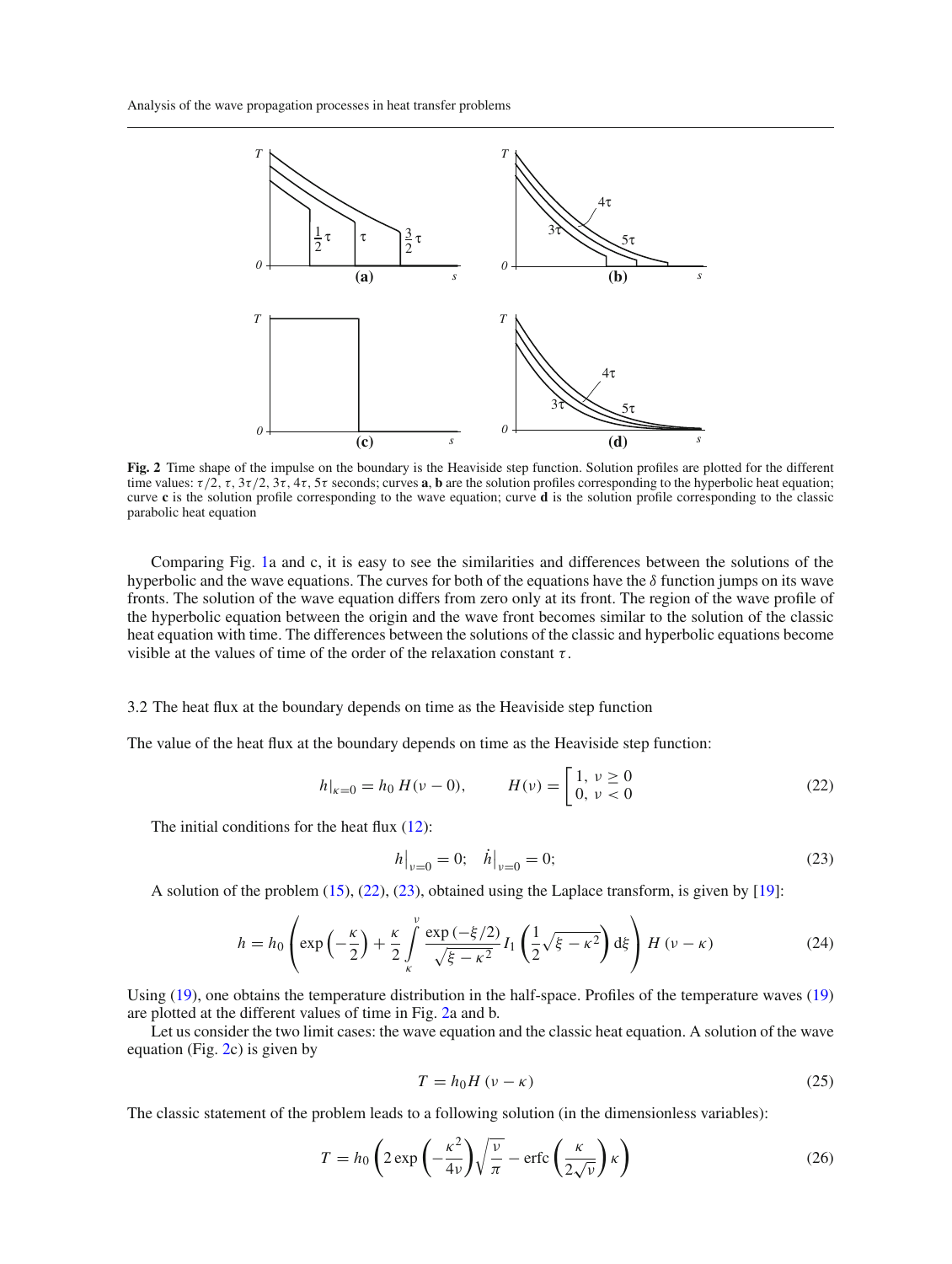

<span id="page-4-2"></span>**Fig. 2** Time shape of the impulse on the boundary is the Heaviside step function. Solution profiles are plotted for the different time values:  $\tau/2$ ,  $\tau$ ,  $3\tau/2$ ,  $3\tau$ ,  $4\tau$ ,  $5\tau$  seconds; curves **a**, **b** are the solution profiles corresponding to the hyperbolic heat equation; curve **c** is the solution profile corresponding to the wave equation; curve **d** is the solution profile corresponding to the classic parabolic heat equation

Comparing Fig. [1a](#page-3-2) and c, it is easy to see the similarities and differences between the solutions of the hyperbolic and the wave equations. The curves for both of the equations have the  $\delta$  function jumps on its wave fronts. The solution of the wave equation differs from zero only at its front. The region of the wave profile of the hyperbolic equation between the origin and the wave front becomes similar to the solution of the classic heat equation with time. The differences between the solutions of the classic and hyperbolic equations become visible at the values of time of the order of the relaxation constant  $\tau$ .

## 3.2 The heat flux at the boundary depends on time as the Heaviside step function

The value of the heat flux at the boundary depends on time as the Heaviside step function:

$$
h|_{\kappa=0} = h_0 H(\nu - 0), \qquad H(\nu) = \begin{bmatrix} 1, & \nu \ge 0 \\ 0, & \nu < 0 \end{bmatrix} \tag{22}
$$

<span id="page-4-0"></span>The initial conditions for the heat flux  $(12)$ :

$$
h|_{v=0} = 0; \quad \dot{h}|_{v=0} = 0; \tag{23}
$$

A solution of the problem [\(15\)](#page-2-3), [\(22\)](#page-4-0), [\(23\)](#page-4-1), obtained using the Laplace transform, is given by [\[19\]](#page-19-8):

<span id="page-4-1"></span>
$$
h = h_0 \left( \exp\left(-\frac{\kappa}{2}\right) + \frac{\kappa}{2} \int\limits_{\kappa}^{\nu} \frac{\exp\left(-\xi/2\right)}{\sqrt{\xi - \kappa^2}} I_1 \left( \frac{1}{2} \sqrt{\xi - \kappa^2} \right) d\xi \right) H \left( \nu - \kappa \right) \tag{24}
$$

Using [\(19\)](#page-3-1), one obtains the temperature distribution in the half-space. Profiles of the temperature waves [\(19\)](#page-3-1) are plotted at the different values of time in Fig. [2a](#page-4-2) and b.

Let us consider the two limit cases: the wave equation and the classic heat equation. A solution of the wave equation (Fig. [2c](#page-4-2)) is given by

$$
T = h_0 H \left(\nu - \kappa\right) \tag{25}
$$

<span id="page-4-3"></span>The classic statement of the problem leads to a following solution (in the dimensionless variables):

$$
T = h_0 \left( 2 \exp\left( -\frac{\kappa^2}{4\nu} \right) \sqrt{\frac{\nu}{\pi}} - \text{erfc}\left( \frac{\kappa}{2\sqrt{\nu}} \right) \kappa \right)
$$
 (26)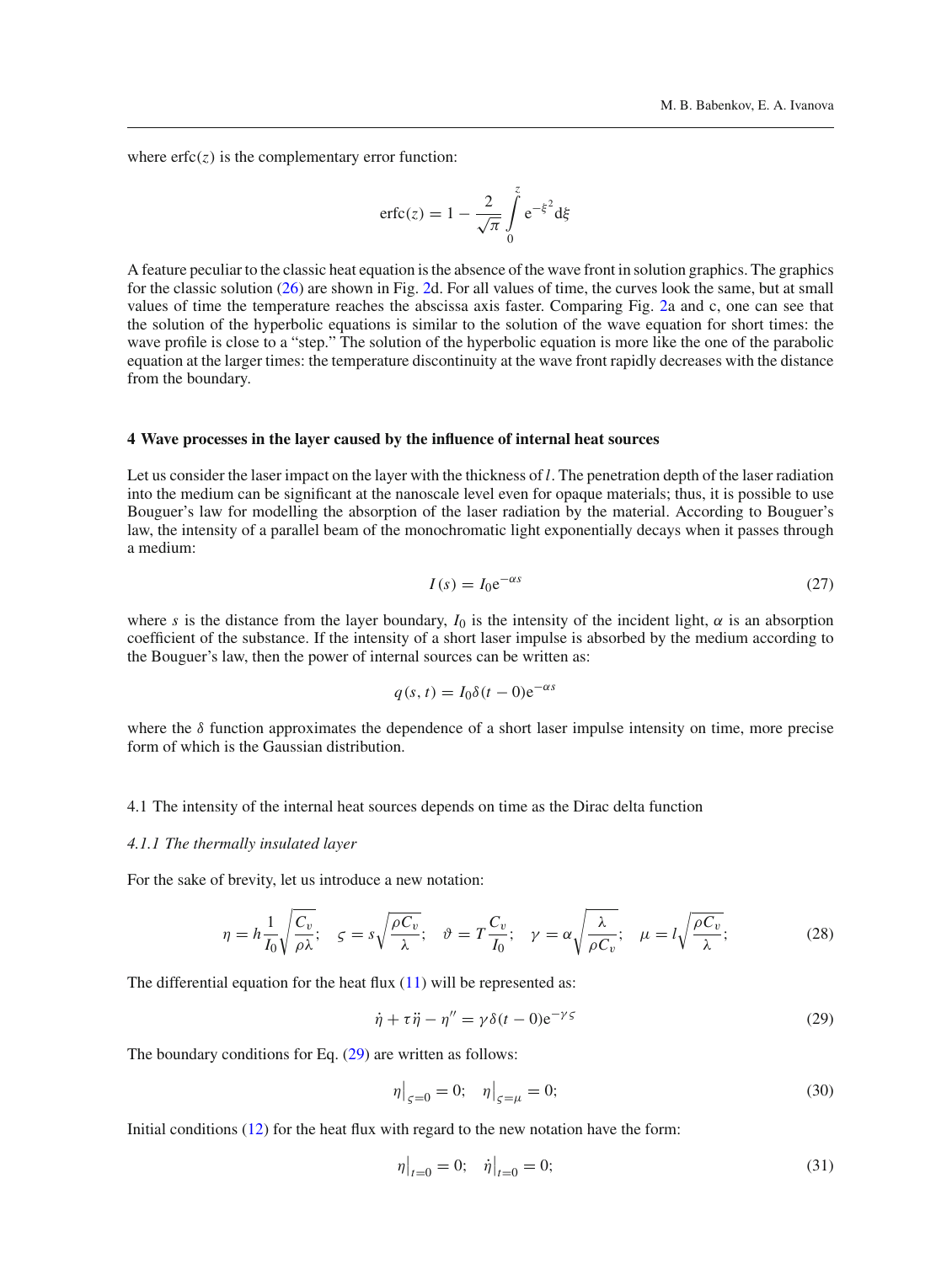where  $erfc(z)$  is the complementary error function:

$$
erfc(z) = 1 - \frac{2}{\sqrt{\pi}} \int_{0}^{z} e^{-\xi^{2}} d\xi
$$

A feature peculiar to the classic heat equation is the absence of the wave front in solution graphics. The graphics for the classic solution [\(26\)](#page-4-3) are shown in Fig. [2d](#page-4-2). For all values of time, the curves look the same, but at small values of time the temperature reaches the abscissa axis faster. Comparing Fig. [2a](#page-4-2) and c, one can see that the solution of the hyperbolic equations is similar to the solution of the wave equation for short times: the wave profile is close to a "step." The solution of the hyperbolic equation is more like the one of the parabolic equation at the larger times: the temperature discontinuity at the wave front rapidly decreases with the distance from the boundary.

## **4 Wave processes in the layer caused by the influence of internal heat sources**

Let us consider the laser impact on the layer with the thickness of *l*. The penetration depth of the laser radiation into the medium can be significant at the nanoscale level even for opaque materials; thus, it is possible to use Bouguer's law for modelling the absorption of the laser radiation by the material. According to Bouguer's law, the intensity of a parallel beam of the monochromatic light exponentially decays when it passes through a medium:

$$
I(s) = I_0 e^{-\alpha s} \tag{27}
$$

where *s* is the distance from the layer boundary,  $I_0$  is the intensity of the incident light,  $\alpha$  is an absorption coefficient of the substance. If the intensity of a short laser impulse is absorbed by the medium according to the Bouguer's law, then the power of internal sources can be written as:

$$
q(s, t) = I_0 \delta(t - 0) e^{-\alpha s}
$$

where the  $\delta$  function approximates the dependence of a short laser impulse intensity on time, more precise form of which is the Gaussian distribution.

#### 4.1 The intensity of the internal heat sources depends on time as the Dirac delta function

## *4.1.1 The thermally insulated layer*

For the sake of brevity, let us introduce a new notation:

<span id="page-5-0"></span>
$$
\eta = h \frac{1}{I_0} \sqrt{\frac{C_v}{\rho \lambda}}; \quad \varsigma = s \sqrt{\frac{\rho C_v}{\lambda}}; \quad \vartheta = T \frac{C_v}{I_0}; \quad \gamma = \alpha \sqrt{\frac{\lambda}{\rho C_v}}; \quad \mu = l \sqrt{\frac{\rho C_v}{\lambda}}; \tag{28}
$$

<span id="page-5-3"></span>The differential equation for the heat flux  $(11)$  will be represented as:

$$
\dot{\eta} + \tau \ddot{\eta} - \eta'' = \gamma \delta(t - 0) e^{-\gamma \varsigma}
$$
 (29)

The boundary conditions for Eq. [\(29\)](#page-5-0) are written as follows:

<span id="page-5-2"></span>
$$
\eta|_{\zeta=0} = 0; \quad \eta|_{\zeta=\mu} = 0; \tag{30}
$$

Initial conditions [\(12\)](#page-2-2) for the heat flux with regard to the new notation have the form:

<span id="page-5-1"></span>
$$
\eta|_{t=0} = 0; \quad \dot{\eta}|_{t=0} = 0; \tag{31}
$$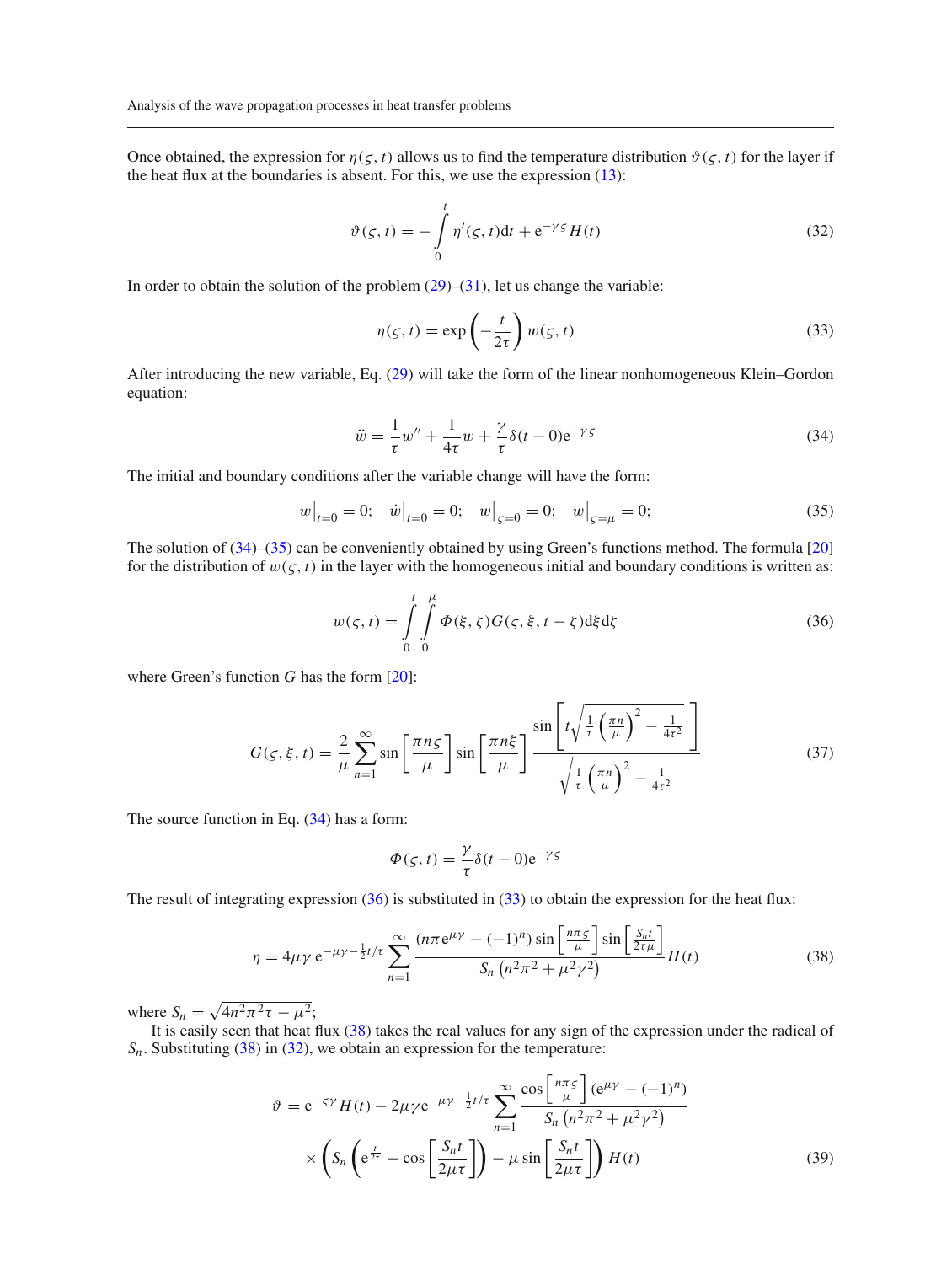Once obtained, the expression for  $\eta(\varsigma, t)$  allows us to find the temperature distribution  $\vartheta(\varsigma, t)$  for the layer if the heat flux at the boundaries is absent. For this, we use the expression [\(13\)](#page-2-4):

<span id="page-6-5"></span>
$$
\vartheta(\varsigma, t) = -\int_{0}^{t} \eta'(\varsigma, t)dt + e^{-\gamma \varsigma} H(t)
$$
\n(32)

In order to obtain the solution of the problem  $(29)$ – $(31)$ , let us change the variable:

<span id="page-6-3"></span>
$$
\eta(\zeta, t) = \exp\left(-\frac{t}{2\tau}\right) w(\zeta, t)
$$
\n(33)

After introducing the new variable, Eq. [\(29\)](#page-5-0) will take the form of the linear nonhomogeneous Klein–Gordon equation:

$$
\ddot{w} = \frac{1}{\tau} w'' + \frac{1}{4\tau} w + \frac{\gamma}{\tau} \delta(t - 0) e^{-\gamma s}
$$
\n(34)

<span id="page-6-1"></span>The initial and boundary conditions after the variable change will have the form:

<span id="page-6-0"></span>
$$
w|_{t=0} = 0; \quad \dot{w}|_{t=0} = 0; \quad w|_{s=0} = 0; \quad w|_{s=\mu} = 0; \tag{35}
$$

The solution of [\(34\)](#page-6-0)–[\(35\)](#page-6-1) can be conveniently obtained by using Green's functions method. The formula [\[20](#page-19-9)] for the distribution of  $w(\varsigma, t)$  in the layer with the homogeneous initial and boundary conditions is written as:

$$
w(\zeta, t) = \int_{0}^{t} \int_{0}^{\mu} \Phi(\xi, \zeta) G(\zeta, \xi, t - \zeta) d\xi d\zeta
$$
 (36)

where Green's function *G* has the form [\[20](#page-19-9)]:

<span id="page-6-2"></span>
$$
G(\zeta, \xi, t) = \frac{2}{\mu} \sum_{n=1}^{\infty} \sin\left[\frac{\pi n \zeta}{\mu}\right] \sin\left[\frac{\pi n \xi}{\mu}\right] \frac{\sin\left[t \sqrt{\frac{1}{\tau} \left(\frac{\pi n}{\mu}\right)^2 - \frac{1}{4\tau^2}}\right]}{\sqrt{\frac{1}{\tau} \left(\frac{\pi n}{\mu}\right)^2 - \frac{1}{4\tau^2}}}
$$
(37)

<span id="page-6-7"></span>The source function in Eq.  $(34)$  has a form:

$$
\Phi(\varsigma, t) = \frac{\gamma}{\tau} \delta(t - 0) e^{-\gamma \varsigma}
$$

The result of integrating expression [\(36\)](#page-6-2) is substituted in [\(33\)](#page-6-3) to obtain the expression for the heat flux:

$$
\eta = 4\mu\gamma \,\mathrm{e}^{-\mu\gamma - \frac{1}{2}t/\tau} \sum_{n=1}^{\infty} \frac{(n\pi \mathrm{e}^{\mu\gamma} - (-1)^n) \sin\left[\frac{n\pi\varsigma}{\mu}\right] \sin\left[\frac{S_n t}{2\tau\mu}\right]}{S_n \left(n^2\pi^2 + \mu^2\gamma^2\right)} H(t) \tag{38}
$$

<span id="page-6-4"></span>where  $S_n = \sqrt{4n^2\pi^2\tau - \mu^2}$ ;

<span id="page-6-6"></span>It is easily seen that heat flux [\(38\)](#page-6-4) takes the real values for any sign of the expression under the radical of  $S_n$ . Substituting [\(38\)](#page-6-4) in [\(32\)](#page-6-5), we obtain an expression for the temperature:

$$
\vartheta = e^{-\varsigma \gamma} H(t) - 2\mu \gamma e^{-\mu \gamma - \frac{1}{2}t/\tau} \sum_{n=1}^{\infty} \frac{\cos\left[\frac{n\pi\varsigma}{\mu}\right] (e^{\mu\gamma} - (-1)^n)}{S_n \left(n^2 \pi^2 + \mu^2 \gamma^2\right)} \times \left(S_n \left(e^{\frac{t}{2\tau}} - \cos\left[\frac{S_n t}{2\mu \tau}\right]\right) - \mu \sin\left[\frac{S_n t}{2\mu \tau}\right]\right) H(t) \tag{39}
$$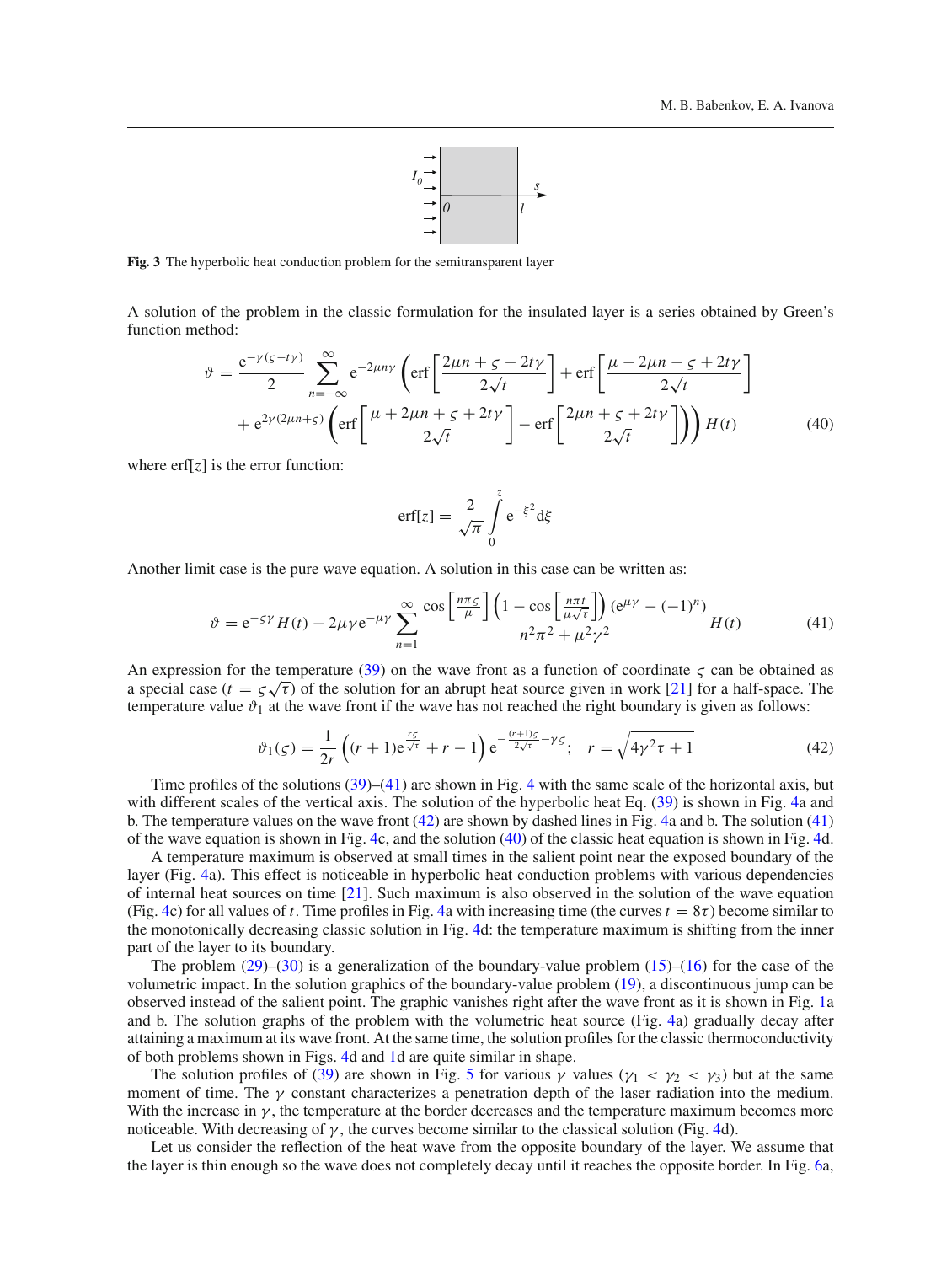

**Fig. 3** The hyperbolic heat conduction problem for the semitransparent layer

<span id="page-7-2"></span>A solution of the problem in the classic formulation for the insulated layer is a series obtained by Green's function method:

$$
\vartheta = \frac{e^{-\gamma(s-t\gamma)}}{2} \sum_{n=-\infty}^{\infty} e^{-2\mu n\gamma} \left( \text{erf}\left[ \frac{2\mu n + s - 2t\gamma}{2\sqrt{t}} \right] + \text{erf}\left[ \frac{\mu - 2\mu n - s + 2t\gamma}{2\sqrt{t}} \right] + e^{2\gamma(2\mu n + s)} \left( \text{erf}\left[ \frac{\mu + 2\mu n + s + 2t\gamma}{2\sqrt{t}} \right] - \text{erf}\left[ \frac{2\mu n + s + 2t\gamma}{2\sqrt{t}} \right] \right) \right) H(t) \tag{40}
$$

where  $\text{erf}[z]$  is the error function:

$$
\text{erf}[z] = \frac{2}{\sqrt{\pi}} \int_{0}^{z} e^{-\xi^2} d\xi
$$

Another limit case is the pure wave equation. A solution in this case can be written as:

$$
\vartheta = e^{-\varsigma \gamma} H(t) - 2\mu \gamma e^{-\mu \gamma} \sum_{n=1}^{\infty} \frac{\cos\left[\frac{n\pi \varsigma}{\mu}\right] \left(1 - \cos\left[\frac{n\pi t}{\mu \sqrt{\varsigma}}\right]\right) (e^{\mu \gamma} - (-1)^n)}{n^2 \pi^2 + \mu^2 \gamma^2} H(t) \tag{41}
$$

<span id="page-7-0"></span>An expression for the temperature [\(39\)](#page-6-6) on the wave front as a function of coordinate  $\zeta$  can be obtained as a special case  $(t = \varsigma \sqrt{\tau})$  of the solution for an abrupt heat source given in work [\[21](#page-19-10)] for a half-space. The temperature value  $\vartheta_1$  at the wave front if the wave has not reached the right boundary is given as follows:

$$
\vartheta_1(\zeta) = \frac{1}{2r} \left( (r+1)e^{\frac{r\zeta}{\sqrt{\tau}}} + r - 1 \right) e^{-\frac{(r+1)\zeta}{2\sqrt{\tau}} - \gamma \zeta}; \quad r = \sqrt{4\gamma^2 \tau + 1}
$$
(42)

<span id="page-7-1"></span>Time profiles of the solutions [\(39\)](#page-6-6)–[\(41\)](#page-7-0) are shown in Fig. [4](#page-8-0) with the same scale of the horizontal axis, but with different scales of the vertical axis. The solution of the hyperbolic heat Eq. [\(39\)](#page-6-6) is shown in Fig. [4a](#page-8-0) and b. The temperature values on the wave front [\(42\)](#page-7-1) are shown by dashed lines in Fig. [4a](#page-8-0) and b. The solution [\(41\)](#page-7-0) of the wave equation is shown in Fig. [4c](#page-8-0), and the solution [\(40\)](#page-7-2) of the classic heat equation is shown in Fig. [4d](#page-8-0).

A temperature maximum is observed at small times in the salient point near the exposed boundary of the layer (Fig. [4a](#page-8-0)). This effect is noticeable in hyperbolic heat conduction problems with various dependencies of internal heat sources on time [\[21](#page-19-10)]. Such maximum is also observed in the solution of the wave equation (Fig. [4c](#page-8-0)) for all values of *t*. Time profiles in Fig. [4a](#page-8-0) with increasing time (the curves  $t = 8\tau$ ) become similar to the monotonically decreasing classic solution in Fig. [4d](#page-8-0): the temperature maximum is shifting from the inner part of the layer to its boundary.

The problem  $(29)$ – $(30)$  is a generalization of the boundary-value problem  $(15)$ – $(16)$  for the case of the volumetric impact. In the solution graphics of the boundary-value problem [\(19\)](#page-3-1), a discontinuous jump can be observed instead of the salient point. The graphic vanishes right after the wave front as it is shown in Fig. [1a](#page-3-2) and b. The solution graphs of the problem with the volumetric heat source (Fig. [4a](#page-8-0)) gradually decay after attaining a maximum at its wave front. At the same time, the solution profiles for the classic thermoconductivity of both problems shown in Figs. [4d](#page-8-0) and [1d](#page-3-2) are quite similar in shape.

The solution profiles of [\(39\)](#page-6-6) are shown in Fig. [5](#page-8-1) for various  $\gamma$  values ( $\gamma_1 < \gamma_2 < \gamma_3$ ) but at the same moment of time. The  $\gamma$  constant characterizes a penetration depth of the laser radiation into the medium. With the increase in  $\gamma$ , the temperature at the border decreases and the temperature maximum becomes more noticeable. With decreasing of  $\gamma$ , the curves become similar to the classical solution (Fig. [4d](#page-8-0)).

Let us consider the reflection of the heat wave from the opposite boundary of the layer. We assume that the layer is thin enough so the wave does not completely decay until it reaches the opposite border. In Fig. [6a](#page-8-2),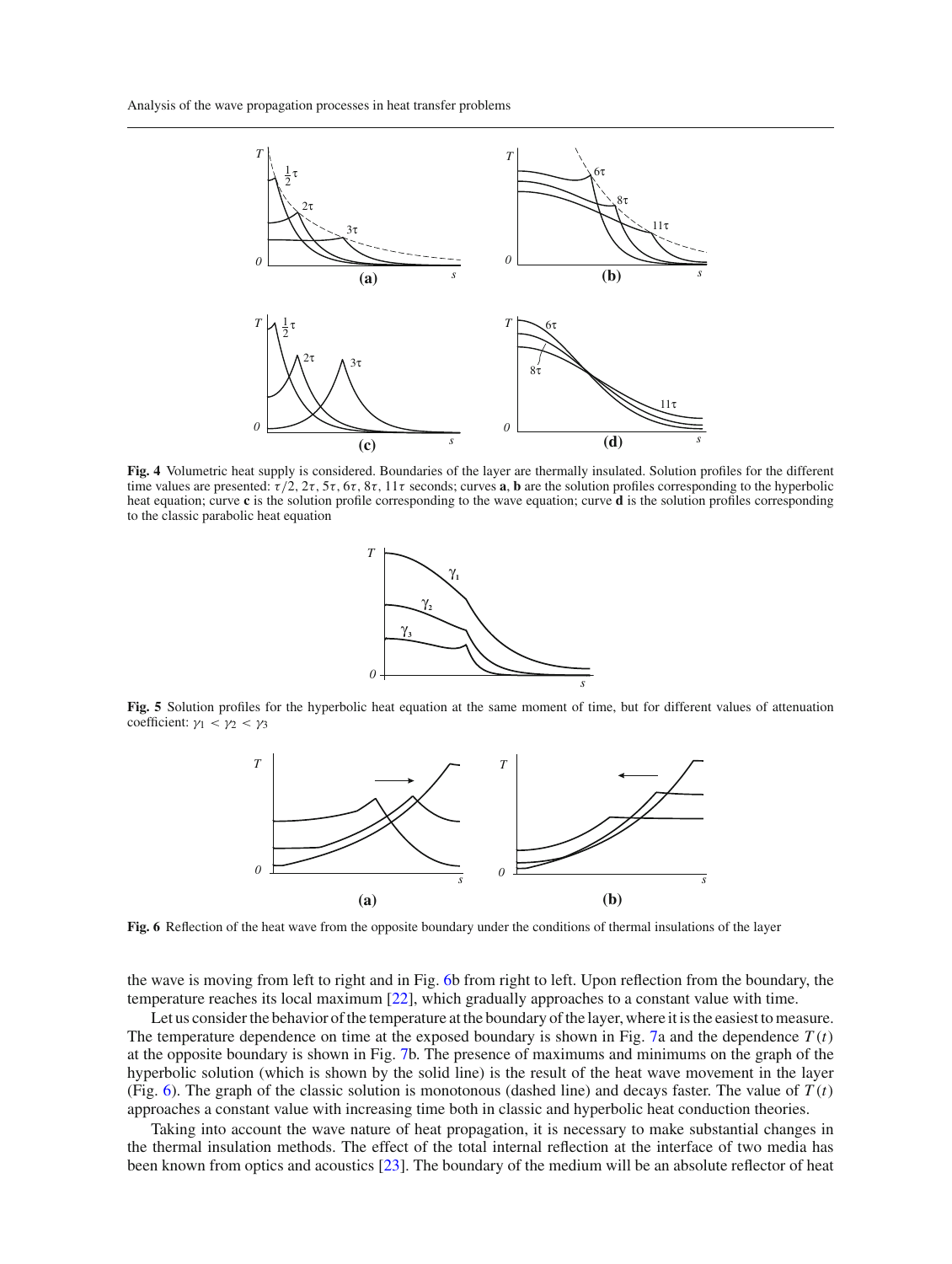Analysis of the wave propagation processes in heat transfer problems



<span id="page-8-0"></span>**Fig. 4** Volumetric heat supply is considered. Boundaries of the layer are thermally insulated. Solution profiles for the different time values are presented:  $\tau/2$ ,  $2\tau$ ,  $5\tau$ ,  $6\tau$ ,  $8\tau$ ,  $11\tau$  seconds; curves **a**, **b** are the solution profiles corresponding to the hyperbolic heat equation; curve **c** is the solution profile corresponding to the wave equation; curve **d** is the solution profiles corresponding to the classic parabolic heat equation



<span id="page-8-1"></span>**Fig. 5** Solution profiles for the hyperbolic heat equation at the same moment of time, but for different values of attenuation coefficient:  $\gamma_1 < \gamma_2 < \gamma_3$ 



<span id="page-8-2"></span>**Fig. 6** Reflection of the heat wave from the opposite boundary under the conditions of thermal insulations of the layer

the wave is moving from left to right and in Fig. [6b](#page-8-2) from right to left. Upon reflection from the boundary, the temperature reaches its local maximum [\[22](#page-19-11)], which gradually approaches to a constant value with time.

Let us consider the behavior of the temperature at the boundary of the layer, where it is the easiest to measure. The temperature dependence on time at the exposed boundary is shown in Fig. [7a](#page-9-0) and the dependence  $T(t)$ at the opposite boundary is shown in Fig. [7b](#page-9-0). The presence of maximums and minimums on the graph of the hyperbolic solution (which is shown by the solid line) is the result of the heat wave movement in the layer (Fig. [6\)](#page-8-2). The graph of the classic solution is monotonous (dashed line) and decays faster. The value of  $T(t)$ approaches a constant value with increasing time both in classic and hyperbolic heat conduction theories.

Taking into account the wave nature of heat propagation, it is necessary to make substantial changes in the thermal insulation methods. The effect of the total internal reflection at the interface of two media has been known from optics and acoustics [\[23](#page-19-12)]. The boundary of the medium will be an absolute reflector of heat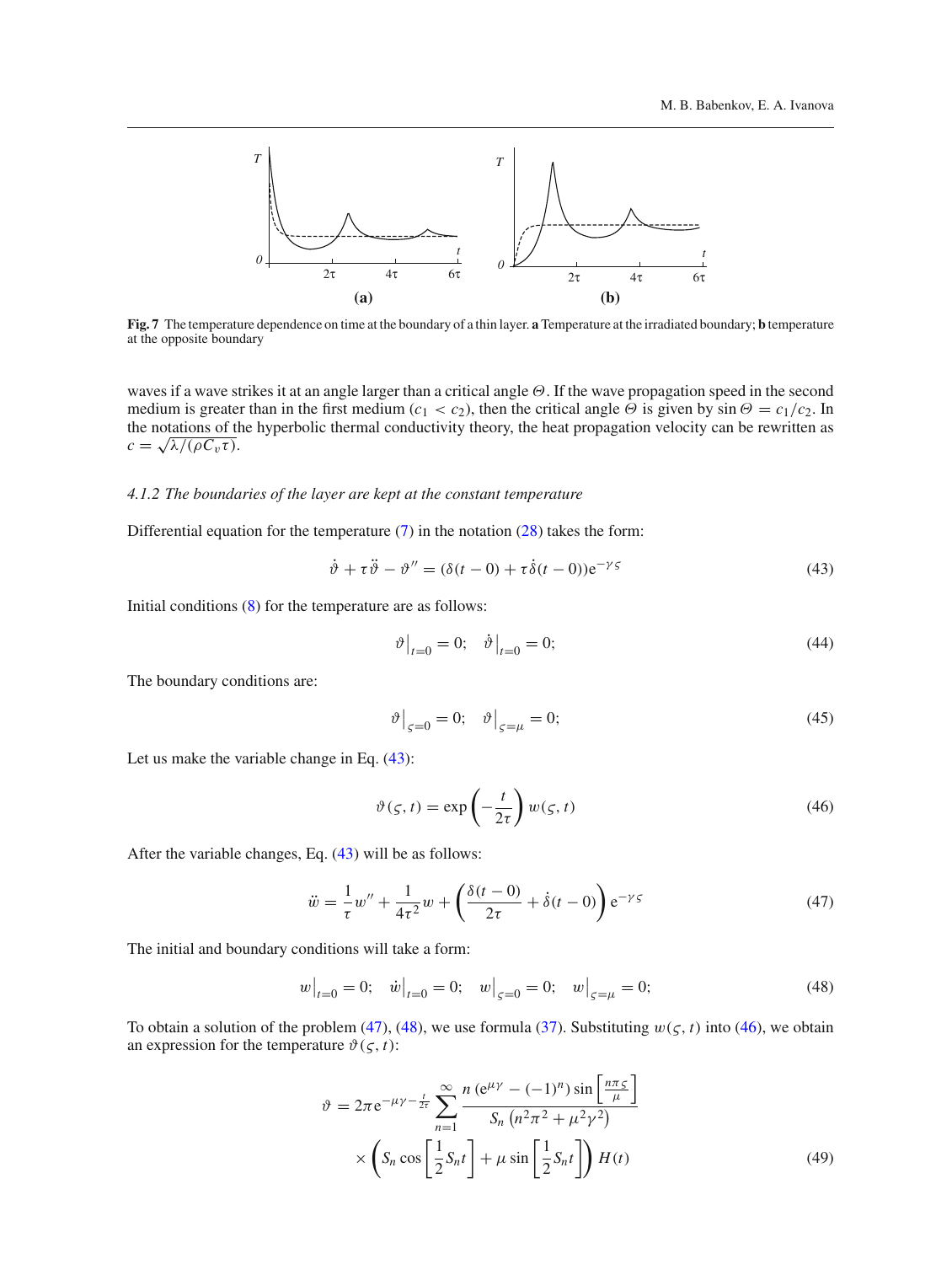

<span id="page-9-0"></span>**Fig. 7** The temperature dependence on time at the boundary of a thin layer. **a** Temperature at the irradiated boundary; **b** temperature at the opposite boundary

waves if a wave strikes it at an angle larger than a critical angle Θ. If the wave propagation speed in the second medium is greater than in the first medium ( $c_1 < c_2$ ), then the critical angle  $\Theta$  is given by  $\sin \Theta = c_1/c_2$ . In the notations of the hyperbolic thermal conductivity theory, the heat propagation velocity can be rewritten as  $c = \sqrt{\lambda/(\rho C_v \tau)}$ .

### *4.1.2 The boundaries of the layer are kept at the constant temperature*

<span id="page-9-1"></span>Differential equation for the temperature [\(7\)](#page-1-3) in the notation [\(28\)](#page-5-3) takes the form:

<span id="page-9-6"></span>
$$
\dot{\vartheta} + \tau \ddot{\vartheta} - \vartheta'' = (\delta(t - 0) + \tau \dot{\delta}(t - 0))e^{-\gamma \varsigma}
$$
\n(43)

Initial conditions [\(8\)](#page-1-4) for the temperature are as follows:

$$
\vartheta \big|_{t=0} = 0; \quad \dot{\vartheta} \big|_{t=0} = 0; \tag{44}
$$

The boundary conditions are:

<span id="page-9-7"></span>
$$
\vartheta\big|_{\zeta=0} = 0; \quad \vartheta\big|_{\zeta=\mu} = 0; \tag{45}
$$

Let us make the variable change in Eq. [\(43\)](#page-9-1):

$$
\vartheta(\varsigma, t) = \exp\left(-\frac{t}{2\tau}\right) w(\varsigma, t) \tag{46}
$$

After the variable changes, Eq. [\(43\)](#page-9-1) will be as follows:

<span id="page-9-4"></span>
$$
\ddot{w} = \frac{1}{\tau} w'' + \frac{1}{4\tau^2} w + \left( \frac{\delta(t - 0)}{2\tau} + \dot{\delta}(t - 0) \right) e^{-\gamma \zeta}
$$
(47)

<span id="page-9-2"></span>The initial and boundary conditions will take a form:

$$
w|_{t=0} = 0; \quad \dot{w}|_{t=0} = 0; \quad w|_{s=0} = 0; \quad w|_{s=\mu} = 0; \tag{48}
$$

<span id="page-9-5"></span><span id="page-9-3"></span>To obtain a solution of the problem [\(47\)](#page-9-2), [\(48\)](#page-9-3), we use formula [\(37\)](#page-6-7). Substituting  $w(\varsigma, t)$  into [\(46\)](#page-9-4), we obtain an expression for the temperature  $\vartheta(\varsigma, t)$ :

$$
\vartheta = 2\pi e^{-\mu\gamma - \frac{t}{2\tau}} \sum_{n=1}^{\infty} \frac{n (e^{\mu\gamma} - (-1)^n) \sin\left[\frac{n\pi\varsigma}{\mu}\right]}{S_n \left(n^2 \pi^2 + \mu^2 \gamma^2\right)}
$$

$$
\times \left(S_n \cos\left[\frac{1}{2}S_n t\right] + \mu \sin\left[\frac{1}{2}S_n t\right]\right) H(t) \tag{49}
$$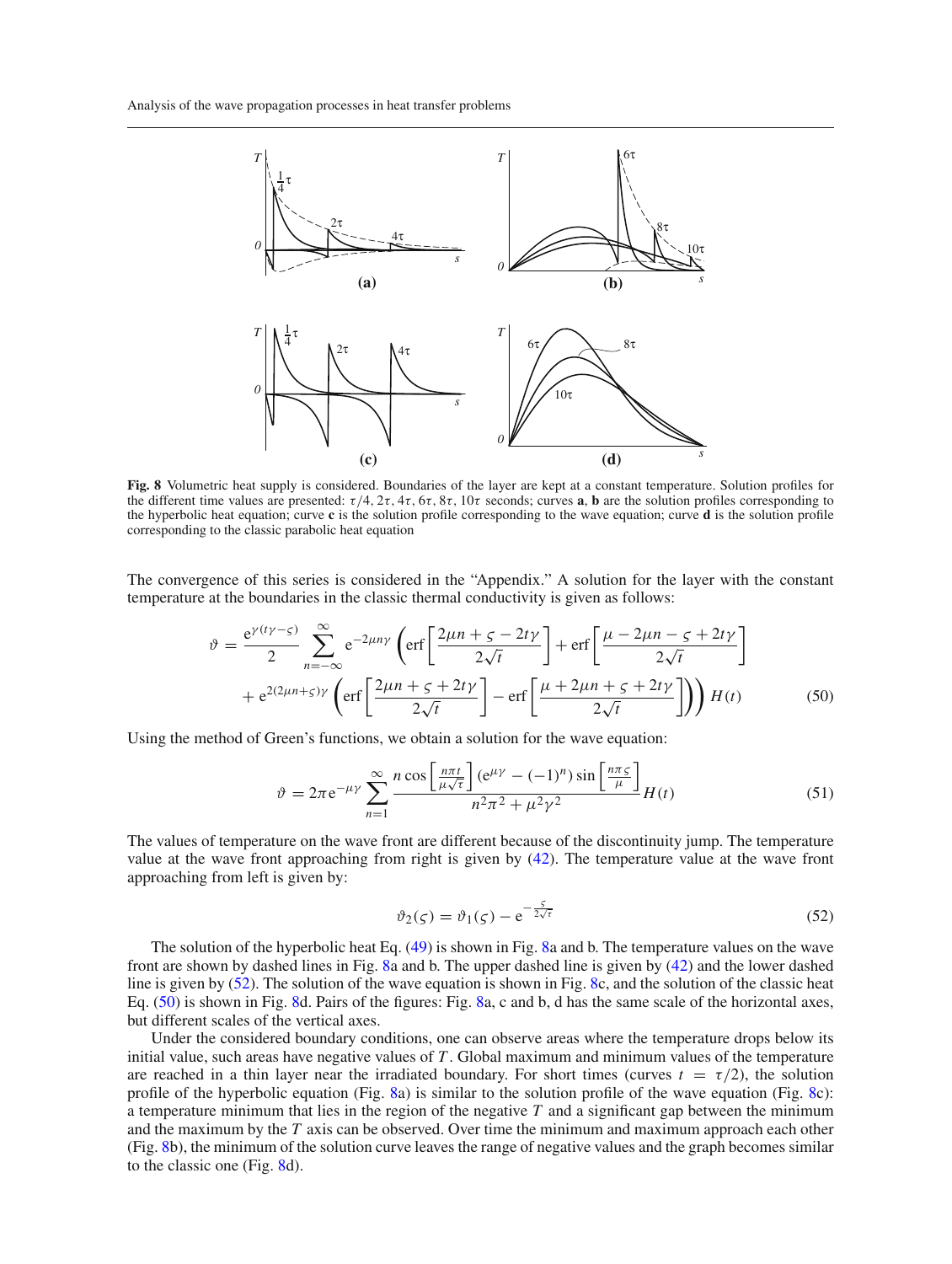Analysis of the wave propagation processes in heat transfer problems



<span id="page-10-0"></span>**Fig. 8** Volumetric heat supply is considered. Boundaries of the layer are kept at a constant temperature. Solution profiles for the different time values are presented:  $\tau/4$ ,  $2\tau$ ,  $4\tau$ ,  $6\tau$ ,  $8\tau$ ,  $10\tau$  seconds; curves **a**, **b** are the solution profiles corresponding to the hyperbolic heat equation; curve **c** is the solution profile corresponding to the wave equation; curve **d** is the solution profile corresponding to the classic parabolic heat equation

<span id="page-10-2"></span>The convergence of this series is considered in the "Appendix." A solution for the layer with the constant temperature at the boundaries in the classic thermal conductivity is given as follows:

$$
\vartheta = \frac{e^{\gamma(t\gamma - \varsigma)}}{2} \sum_{n = -\infty}^{\infty} e^{-2\mu n \gamma} \left( \text{erf}\left[ \frac{2\mu n + \varsigma - 2t\gamma}{2\sqrt{t}} \right] + \text{erf}\left[ \frac{\mu - 2\mu n - \varsigma + 2t\gamma}{2\sqrt{t}} \right] + e^{2(2\mu n + \varsigma)\gamma} \left( \text{erf}\left[ \frac{2\mu n + \varsigma + 2t\gamma}{2\sqrt{t}} \right] - \text{erf}\left[ \frac{\mu + 2\mu n + \varsigma + 2t\gamma}{2\sqrt{t}} \right] \right) \right) H(t)
$$
(50)

Using the method of Green's functions, we obtain a solution for the wave equation:

$$
\vartheta = 2\pi e^{-\mu\gamma} \sum_{n=1}^{\infty} \frac{n \cos\left[\frac{n\pi t}{\mu\sqrt{\tau}}\right] (e^{\mu\gamma} - (-1)^n) \sin\left[\frac{n\pi \zeta}{\mu}\right]}{n^2 \pi^2 + \mu^2 \gamma^2} H(t) \tag{51}
$$

<span id="page-10-3"></span>The values of temperature on the wave front are different because of the discontinuity jump. The temperature value at the wave front approaching from right is given by [\(42\)](#page-7-1). The temperature value at the wave front approaching from left is given by:

<span id="page-10-1"></span>
$$
\vartheta_2(\varsigma) = \vartheta_1(\varsigma) - e^{-\frac{\varsigma}{2\sqrt{\tau}}}
$$
\n(52)

The solution of the hyperbolic heat Eq. [\(49\)](#page-9-5) is shown in Fig. [8a](#page-10-0) and b. The temperature values on the wave front are shown by dashed lines in Fig. [8a](#page-10-0) and b. The upper dashed line is given by [\(42\)](#page-7-1) and the lower dashed line is given by [\(52\)](#page-10-1). The solution of the wave equation is shown in Fig. [8c](#page-10-0), and the solution of the classic heat Eq. [\(50\)](#page-10-2) is shown in Fig. [8d](#page-10-0). Pairs of the figures: Fig. [8a](#page-10-0), c and b, d has the same scale of the horizontal axes, but different scales of the vertical axes.

Under the considered boundary conditions, one can observe areas where the temperature drops below its initial value, such areas have negative values of *T* . Global maximum and minimum values of the temperature are reached in a thin layer near the irradiated boundary. For short times (curves  $t = \tau/2$ ), the solution profile of the hyperbolic equation (Fig. [8a](#page-10-0)) is similar to the solution profile of the wave equation (Fig. [8c](#page-10-0)): a temperature minimum that lies in the region of the negative *T* and a significant gap between the minimum and the maximum by the *T* axis can be observed. Over time the minimum and maximum approach each other (Fig. [8b](#page-10-0)), the minimum of the solution curve leaves the range of negative values and the graph becomes similar to the classic one (Fig. [8d](#page-10-0)).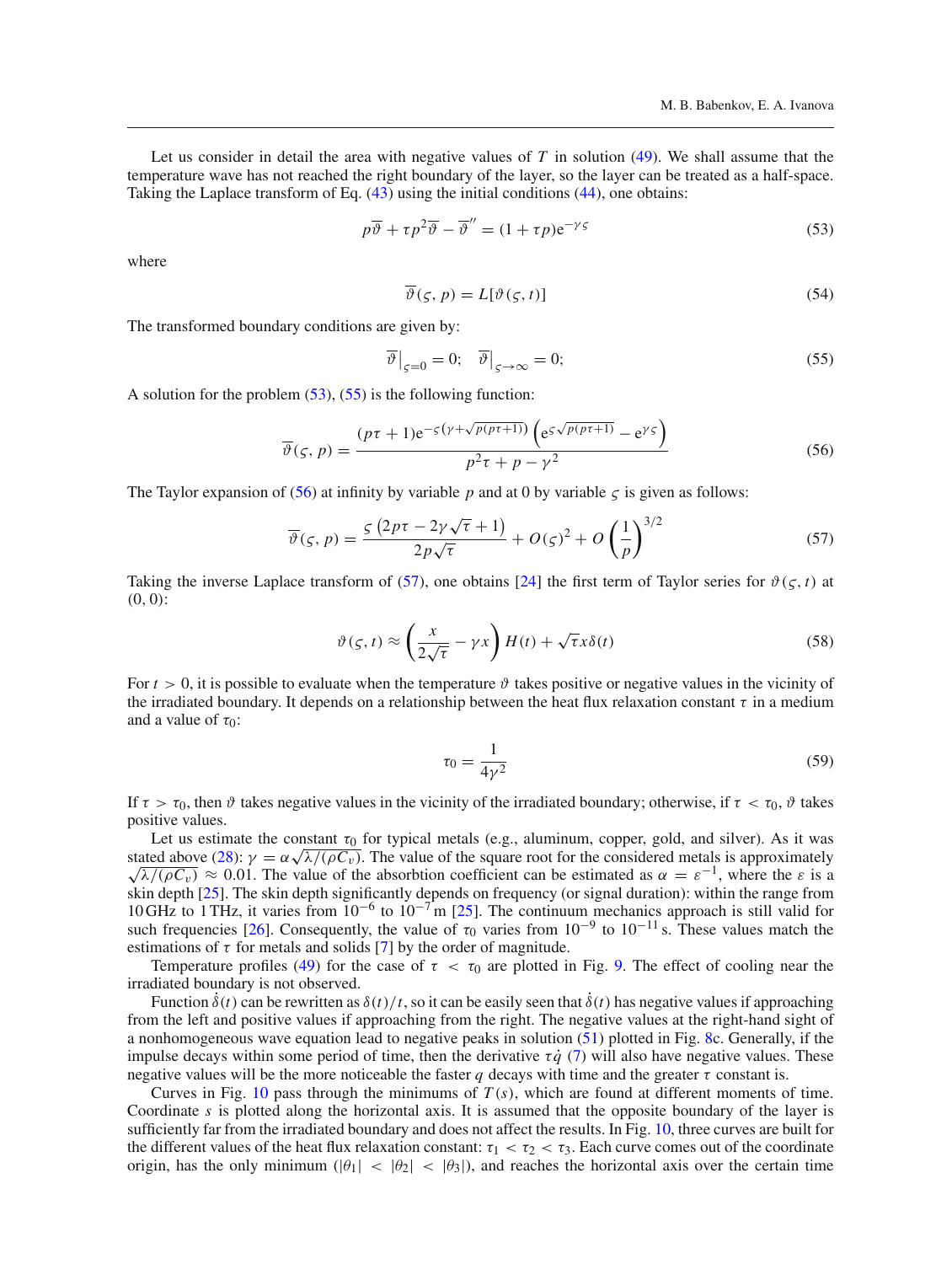Let us consider in detail the area with negative values of  $T$  in solution [\(49\)](#page-9-5). We shall assume that the temperature wave has not reached the right boundary of the layer, so the layer can be treated as a half-space. Taking the Laplace transform of Eq. [\(43\)](#page-9-1) using the initial conditions [\(44\)](#page-9-6), one obtains:

<span id="page-11-0"></span>
$$
p\overline{\vartheta} + \tau p^2 \overline{\vartheta} - \overline{\vartheta}'' = (1 + \tau p)e^{-\gamma \varsigma}
$$
\n(53)

where

$$
\overline{\vartheta}(\varsigma, p) = L[\vartheta(\varsigma, t)]\tag{54}
$$

The transformed boundary conditions are given by:

$$
\overline{\vartheta}\big|_{\varsigma=0} = 0; \quad \overline{\vartheta}\big|_{\varsigma \to \infty} = 0; \tag{55}
$$

A solution for the problem  $(53)$ ,  $(55)$  is the following function:

<span id="page-11-1"></span>
$$
\overline{\vartheta}(\varsigma, p) = \frac{(p\tau + 1)e^{-\varsigma(\gamma + \sqrt{p(p\tau + 1)})} \left(e^{\varsigma\sqrt{p(p\tau + 1)}} - e^{\gamma\varsigma}\right)}{p^2\tau + p - \gamma^2}
$$
(56)

<span id="page-11-2"></span>The Taylor expansion of [\(56\)](#page-11-2) at infinity by variable *p* and at 0 by variable  $\zeta$  is given as follows:

$$
\overline{\vartheta}(\varsigma, p) = \frac{\varsigma (2p\tau - 2\gamma\sqrt{\tau} + 1)}{2p\sqrt{\tau}} + O(\varsigma)^2 + O\left(\frac{1}{p}\right)^{3/2}
$$
(57)

<span id="page-11-3"></span>Taking the inverse Laplace transform of [\(57\)](#page-11-3), one obtains [\[24\]](#page-19-13) the first term of Taylor series for  $\vartheta(\varsigma, t)$  at  $(0, 0)$ :

$$
\vartheta(\zeta, t) \approx \left(\frac{x}{2\sqrt{\tau}} - \gamma x\right) H(t) + \sqrt{\tau} x \delta(t) \tag{58}
$$

For  $t > 0$ , it is possible to evaluate when the temperature  $\vartheta$  takes positive or negative values in the vicinity of the irradiated boundary. It depends on a relationship between the heat flux relaxation constant  $\tau$  in a medium and a value of  $\tau_0$ :

<span id="page-11-4"></span>
$$
\tau_0 = \frac{1}{4\gamma^2} \tag{59}
$$

If  $\tau > \tau_0$ , then  $\vartheta$  takes negative values in the vicinity of the irradiated boundary; otherwise, if  $\tau < \tau_0$ ,  $\vartheta$  takes positive values.

Let us estimate the constant  $\tau_0$  for typical metals (e.g., aluminum, copper, gold, and silver). As it was stated above [\(28\)](#page-5-3):  $\gamma = \alpha \sqrt{\lambda/(\rho C_v)}$ . The value of the square root for the considered metals is approximately  $\sqrt{\lambda/(\rho C_v)} \approx 0.01$ . The value of the absorbtion coefficient can be estimated as  $\alpha = \varepsilon^{-1}$ , where the  $\varepsilon$  is a skin depth [\[25](#page-19-14)]. The skin depth significantly depends on frequency (or signal duration): within the range from 10 GHz to 1 THz, it varies from 10−<sup>6</sup> to 10−<sup>7</sup> m [\[25](#page-19-14)]. The continuum mechanics approach is still valid for such frequencies [\[26\]](#page-19-15). Consequently, the value of  $\tau_0$  varies from 10<sup>-9</sup> to 10<sup>-11</sup> s. These values match the estimations of  $\tau$  for metals and solids [\[7](#page-18-6)] by the order of magnitude.

Temperature profiles [\(49\)](#page-9-5) for the case of  $\tau < \tau_0$  are plotted in Fig. [9.](#page-12-0) The effect of cooling near the irradiated boundary is not observed.

Function  $\delta(t)$  can be rewritten as  $\delta(t)/t$ , so it can be easily seen that  $\delta(t)$  has negative values if approaching from the left and positive values if approaching from the right. The negative values at the right-hand sight of a nonhomogeneous wave equation lead to negative peaks in solution  $(51)$  plotted in Fig. [8c](#page-10-0). Generally, if the impulse decays within some period of time, then the derivative  $\tau\dot{q}$  [\(7\)](#page-1-3) will also have negative values. These negative values will be the more noticeable the faster *q* decays with time and the greater  $\tau$  constant is.

Curves in Fig. [10](#page-12-1) pass through the minimums of  $T(s)$ , which are found at different moments of time. Coordinate *s* is plotted along the horizontal axis. It is assumed that the opposite boundary of the layer is sufficiently far from the irradiated boundary and does not affect the results. In Fig. [10,](#page-12-1) three curves are built for the different values of the heat flux relaxation constant:  $\tau_1 < \tau_2 < \tau_3$ . Each curve comes out of the coordinate origin, has the only minimum  $(|\theta_1| < |\theta_2| < |\theta_3|)$ , and reaches the horizontal axis over the certain time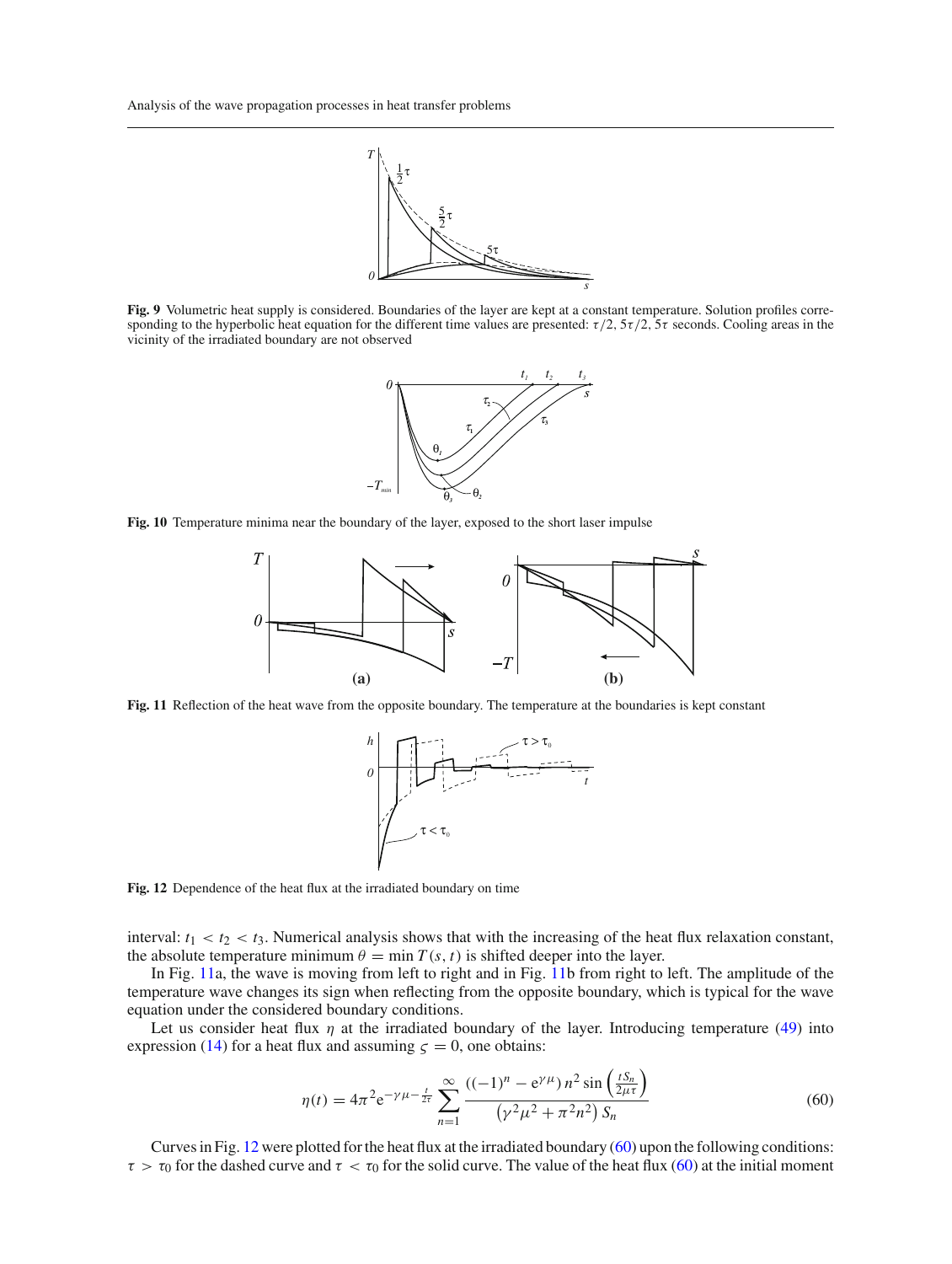

<span id="page-12-0"></span>**Fig. 9** Volumetric heat supply is considered. Boundaries of the layer are kept at a constant temperature. Solution profiles corresponding to the hyperbolic heat equation for the different time values are presented:  $\tau/2$ ,  $5\tau/2$ ,  $5\tau$  seconds. Cooling areas in the vicinity of the irradiated boundary are not observed



<span id="page-12-1"></span>**Fig. 10** Temperature minima near the boundary of the layer, exposed to the short laser impulse



<span id="page-12-2"></span>**Fig. 11** Reflection of the heat wave from the opposite boundary. The temperature at the boundaries is kept constant



<span id="page-12-3"></span>**Fig. 12** Dependence of the heat flux at the irradiated boundary on time

interval:  $t_1 < t_2 < t_3$ . Numerical analysis shows that with the increasing of the heat flux relaxation constant, the absolute temperature minimum  $\theta = \min T(s, t)$  is shifted deeper into the layer.

In Fig. [11a](#page-12-2), the wave is moving from left to right and in Fig. [11b](#page-12-2) from right to left. The amplitude of the temperature wave changes its sign when reflecting from the opposite boundary, which is typical for the wave equation under the considered boundary conditions.

Let us consider heat flux  $\eta$  at the irradiated boundary of the layer. Introducing temperature [\(49\)](#page-9-5) into expression [\(14\)](#page-2-5) for a heat flux and assuming  $\zeta = 0$ , one obtains:

$$
\eta(t) = 4\pi^2 e^{-\gamma \mu - \frac{t}{2\tau}} \sum_{n=1}^{\infty} \frac{((-1)^n - e^{\gamma \mu}) n^2 \sin\left(\frac{tS_n}{2\mu \tau}\right)}{\left(\gamma^2 \mu^2 + \pi^2 n^2\right) S_n}
$$
(60)

<span id="page-12-4"></span>Curves in Fig. [12](#page-12-3) were plotted for the heat flux at the irradiated boundary [\(60\)](#page-12-4) upon the following conditions:  $\tau > \tau_0$  for the dashed curve and  $\tau < \tau_0$  for the solid curve. The value of the heat flux [\(60\)](#page-12-4) at the initial moment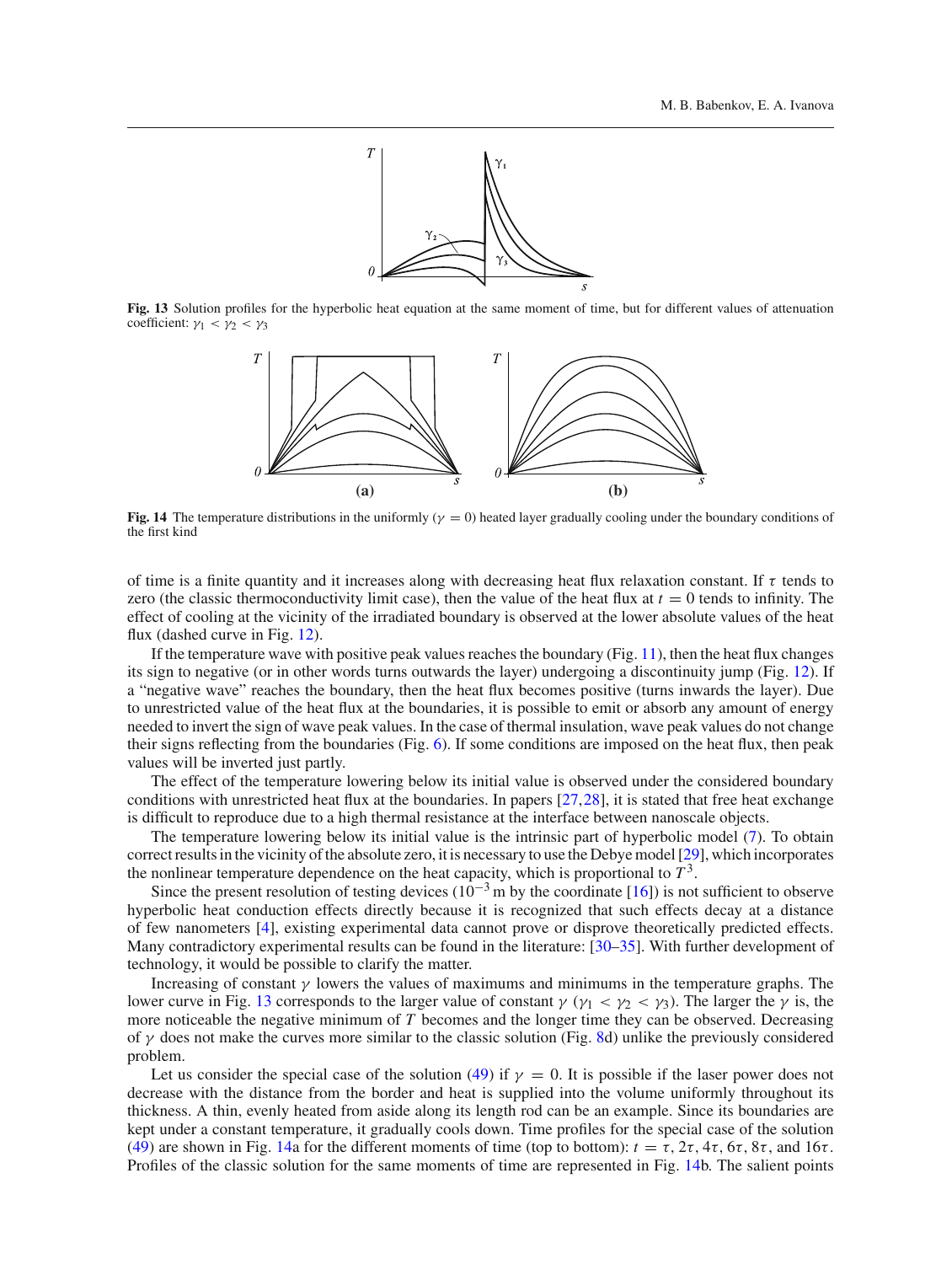

<span id="page-13-0"></span>**Fig. 13** Solution profiles for the hyperbolic heat equation at the same moment of time, but for different values of attenuation coefficient:  $\gamma_1 < \gamma_2 < \gamma_3$ 



<span id="page-13-1"></span>**Fig. 14** The temperature distributions in the uniformly  $(\gamma = 0)$  heated layer gradually cooling under the boundary conditions of the first kind

of time is a finite quantity and it increases along with decreasing heat flux relaxation constant. If  $\tau$  tends to zero (the classic thermoconductivity limit case), then the value of the heat flux at  $t = 0$  tends to infinity. The effect of cooling at the vicinity of the irradiated boundary is observed at the lower absolute values of the heat flux (dashed curve in Fig. [12\)](#page-12-3).

If the temperature wave with positive peak values reaches the boundary (Fig. [11\)](#page-12-2), then the heat flux changes its sign to negative (or in other words turns outwards the layer) undergoing a discontinuity jump (Fig. [12\)](#page-12-3). If a "negative wave" reaches the boundary, then the heat flux becomes positive (turns inwards the layer). Due to unrestricted value of the heat flux at the boundaries, it is possible to emit or absorb any amount of energy needed to invert the sign of wave peak values. In the case of thermal insulation, wave peak values do not change their signs reflecting from the boundaries (Fig.  $6$ ). If some conditions are imposed on the heat flux, then peak values will be inverted just partly.

The effect of the temperature lowering below its initial value is observed under the considered boundary conditions with unrestricted heat flux at the boundaries. In papers [\[27](#page-19-16)[,28\]](#page-19-17), it is stated that free heat exchange is difficult to reproduce due to a high thermal resistance at the interface between nanoscale objects.

The temperature lowering below its initial value is the intrinsic part of hyperbolic model [\(7\)](#page-1-3). To obtain correct results in the vicinity of the absolute zero, it is necessary to use the Debye model [\[29\]](#page-19-18), which incorporates the nonlinear temperature dependence on the heat capacity, which is proportional to  $T<sup>3</sup>$ .

Since the present resolution of testing devices  $(10^{-3}$  m by the coordinate [\[16\]](#page-19-5)) is not sufficient to observe hyperbolic heat conduction effects directly because it is recognized that such effects decay at a distance of few nanometers [\[4\]](#page-18-3), existing experimental data cannot prove or disprove theoretically predicted effects. Many contradictory experimental results can be found in the literature: [\[30](#page-19-19)[–35\]](#page-19-20). With further development of technology, it would be possible to clarify the matter.

Increasing of constant  $\gamma$  lowers the values of maximums and minimums in the temperature graphs. The lower curve in Fig. [13](#page-13-0) corresponds to the larger value of constant  $\gamma$  ( $\gamma_1 < \gamma_2 < \gamma_3$ ). The larger the  $\gamma$  is, the more noticeable the negative minimum of *T* becomes and the longer time they can be observed. Decreasing of  $\gamma$  does not make the curves more similar to the classic solution (Fig. [8d](#page-10-0)) unlike the previously considered problem.

Let us consider the special case of the solution [\(49\)](#page-9-5) if  $\gamma = 0$ . It is possible if the laser power does not decrease with the distance from the border and heat is supplied into the volume uniformly throughout its thickness. A thin, evenly heated from aside along its length rod can be an example. Since its boundaries are kept under a constant temperature, it gradually cools down. Time profiles for the special case of the solution [\(49\)](#page-9-5) are shown in Fig. [14a](#page-13-1) for the different moments of time (top to bottom):  $t = \tau$ ,  $2\tau$ ,  $4\tau$ ,  $6\tau$ ,  $8\tau$ , and  $16\tau$ . Profiles of the classic solution for the same moments of time are represented in Fig. [14b](#page-13-1). The salient points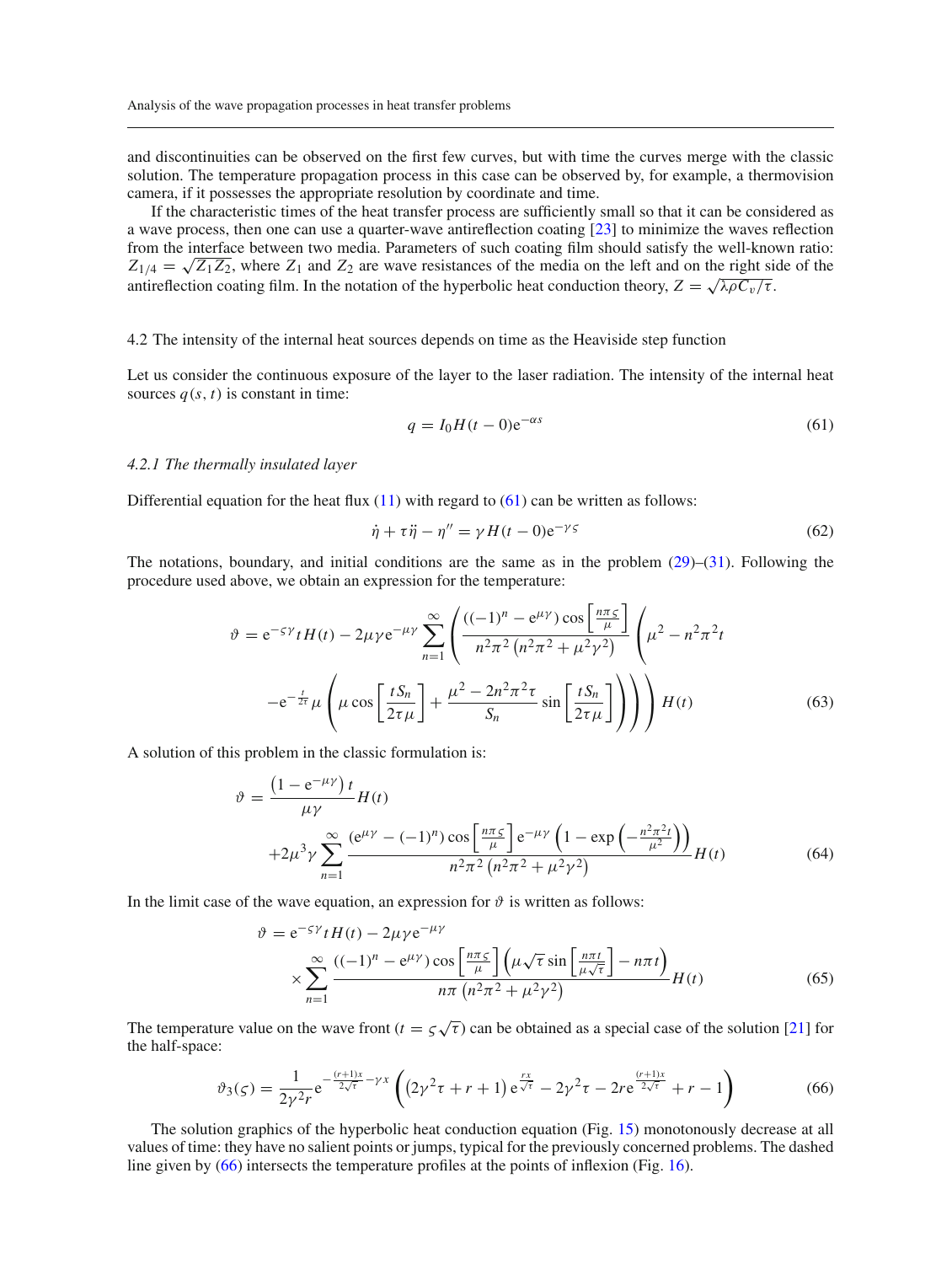and discontinuities can be observed on the first few curves, but with time the curves merge with the classic solution. The temperature propagation process in this case can be observed by, for example, a thermovision camera, if it possesses the appropriate resolution by coordinate and time.

If the characteristic times of the heat transfer process are sufficiently small so that it can be considered as a wave process, then one can use a quarter-wave antireflection coating [\[23\]](#page-19-12) to minimize the waves reflection from the interface between two media. Parameters of such coating film should satisfy the well-known ratio:  $Z_{1/4} = \sqrt{Z_1 Z_2}$ , where  $Z_1$  and  $Z_2$  are wave resistances of the media on the left and on the right side of the antireflection coating film. In the notation of the hyperbolic heat conduction theory,  $Z = \sqrt{\lambda \rho C_v/\tau}$ .

## 4.2 The intensity of the internal heat sources depends on time as the Heaviside step function

Let us consider the continuous exposure of the layer to the laser radiation. The intensity of the internal heat sources  $q(s, t)$  is constant in time:

<span id="page-14-0"></span>
$$
q = I_0 H(t-0) e^{-\alpha s} \tag{61}
$$

#### *4.2.1 The thermally insulated layer*

Differential equation for the heat flux  $(11)$  with regard to  $(61)$  can be written as follows:

$$
\dot{\eta} + \tau \ddot{\eta} - \eta'' = \gamma H(t - 0) e^{-\gamma \zeta}
$$
\n(62)

The notations, boundary, and initial conditions are the same as in the problem  $(29)$ – $(31)$ . Following the procedure used above, we obtain an expression for the temperature:

$$
\vartheta = e^{-\varsigma \gamma} t H(t) - 2\mu \gamma e^{-\mu \gamma} \sum_{n=1}^{\infty} \left( \frac{((-1)^n - e^{\mu \gamma}) \cos\left[\frac{n\pi \varsigma}{\mu}\right]}{n^2 \pi^2 \left(n^2 \pi^2 + \mu^2 \gamma^2\right)} \left(\mu^2 - n^2 \pi^2 t\right) \right)
$$

$$
-e^{-\frac{t}{2\tau}} \mu \left(\mu \cos\left[\frac{t S_n}{2\tau \mu}\right] + \frac{\mu^2 - 2n^2 \pi^2 \tau}{S_n} \sin\left[\frac{t S_n}{2\tau \mu}\right]\right) H(t) \tag{63}
$$

A solution of this problem in the classic formulation is:

$$
\vartheta = \frac{\left(1 - e^{-\mu\gamma}\right)t}{\mu\gamma}H(t)
$$
  
 
$$
+2\mu^3\gamma\sum_{n=1}^{\infty}\frac{\left(e^{\mu\gamma} - (-1)^n\right)\cos\left[\frac{n\pi\varsigma}{\mu}\right]e^{-\mu\gamma}\left(1 - \exp\left(-\frac{n^2\pi^2t}{\mu^2}\right)\right)}{n^2\pi^2\left(n^2\pi^2 + \mu^2\gamma^2\right)}H(t)
$$
(64)

In the limit case of the wave equation, an expression for  $\vartheta$  is written as follows:

$$
\vartheta = e^{-\varsigma \gamma} t H(t) - 2\mu \gamma e^{-\mu \gamma}
$$
  
 
$$
\times \sum_{n=1}^{\infty} \frac{((-1)^n - e^{\mu \gamma}) \cos \left[\frac{n\pi \varsigma}{\mu}\right] \left(\mu \sqrt{\tau} \sin \left[\frac{n\pi t}{\mu \sqrt{\tau}}\right] - n\pi t\right)}{n\pi \left(n^2 \pi^2 + \mu^2 \gamma^2\right)} H(t)
$$
(65)

The temperature value on the wave front  $(t = \zeta \sqrt{\tau})$  can be obtained as a special case of the solution [\[21](#page-19-10)] for the half-space:

$$
\vartheta_3(\zeta) = \frac{1}{2\gamma^2 r} e^{-\frac{(r+1)x}{2\sqrt{\tau}} - \gamma x} \left( \left( 2\gamma^2 \tau + r + 1 \right) e^{\frac{rx}{\sqrt{\tau}}} - 2\gamma^2 \tau - 2re^{\frac{(r+1)x}{2\sqrt{\tau}}} + r - 1 \right)
$$
(66)

<span id="page-14-1"></span>The solution graphics of the hyperbolic heat conduction equation (Fig. [15\)](#page-15-0) monotonously decrease at all values of time: they have no salient points or jumps, typical for the previously concerned problems. The dashed line given by [\(66\)](#page-14-1) intersects the temperature profiles at the points of inflexion (Fig. [16\)](#page-15-1).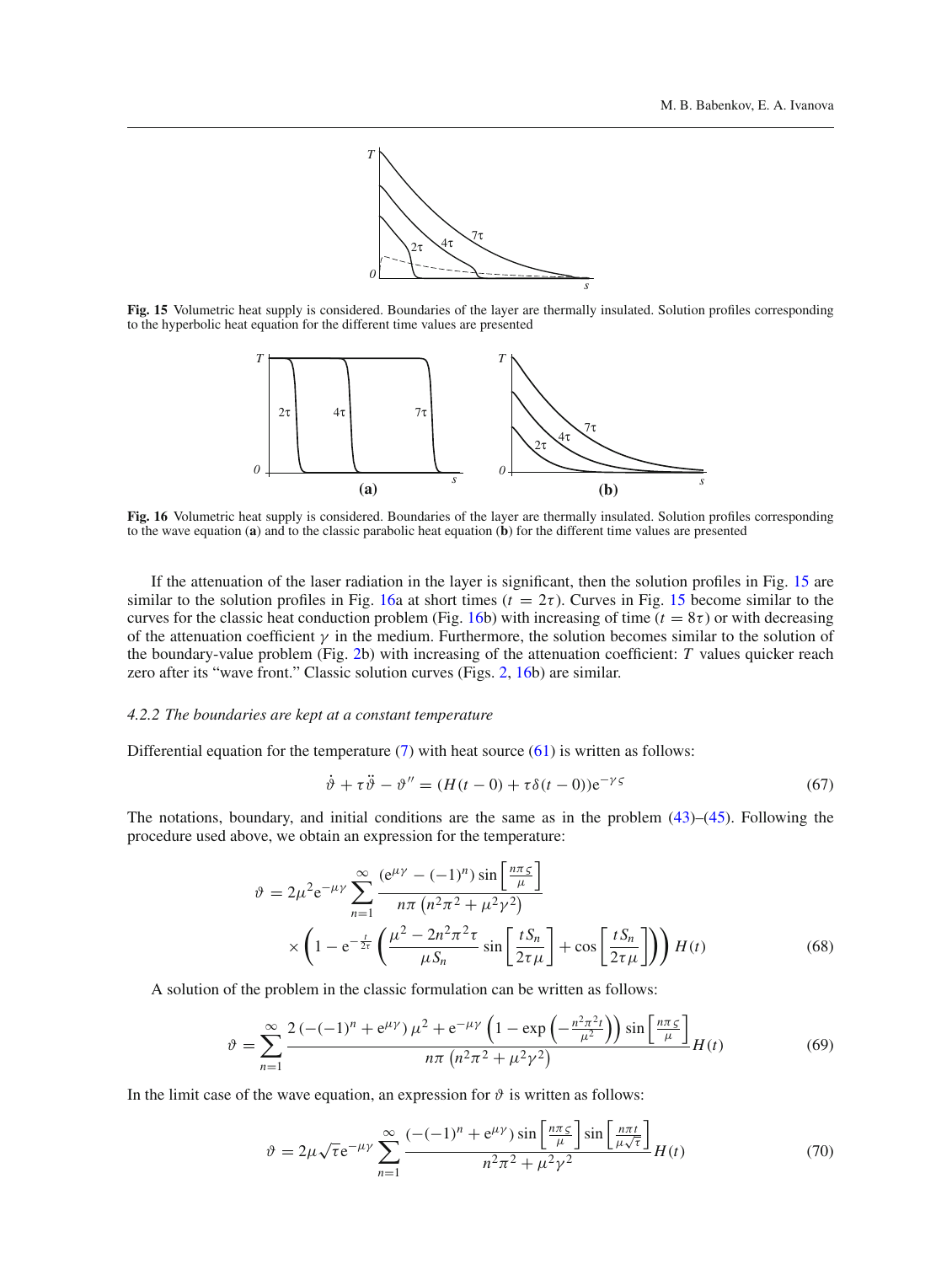

<span id="page-15-0"></span>**Fig. 15** Volumetric heat supply is considered. Boundaries of the layer are thermally insulated. Solution profiles corresponding to the hyperbolic heat equation for the different time values are presented



<span id="page-15-1"></span>**Fig. 16** Volumetric heat supply is considered. Boundaries of the layer are thermally insulated. Solution profiles corresponding to the wave equation (**a**) and to the classic parabolic heat equation (**b**) for the different time values are presented

If the attenuation of the laser radiation in the layer is significant, then the solution profiles in Fig. [15](#page-15-0) are similar to the solution profiles in Fig. [16a](#page-15-1) at short times  $(t = 2\tau)$ . Curves in Fig. [15](#page-15-0) become similar to the curves for the classic heat conduction problem (Fig. [16b](#page-15-1)) with increasing of time  $(t = 8\tau)$  or with decreasing of the attenuation coefficient  $\gamma$  in the medium. Furthermore, the solution becomes similar to the solution of the boundary-value problem (Fig. [2b](#page-4-2)) with increasing of the attenuation coefficient: *T* values quicker reach zero after its "wave front." Classic solution curves (Figs. [2,](#page-4-2) [16b](#page-15-1)) are similar.

## *4.2.2 The boundaries are kept at a constant temperature*

Differential equation for the temperature  $(7)$  with heat source  $(61)$  is written as follows:

$$
\dot{\vartheta} + \tau \ddot{\vartheta} - \vartheta'' = (H(t - 0) + \tau \delta(t - 0))e^{-\gamma \varsigma}
$$
\n(67)

The notations, boundary, and initial conditions are the same as in the problem [\(43\)](#page-9-1)–[\(45\)](#page-9-7). Following the procedure used above, we obtain an expression for the temperature:

$$
\vartheta = 2\mu^2 e^{-\mu\gamma} \sum_{n=1}^{\infty} \frac{(e^{\mu\gamma} - (-1)^n) \sin\left[\frac{n\pi\varsigma}{\mu}\right]}{n\pi \left(n^2 \pi^2 + \mu^2 \gamma^2\right)} \times \left(1 - e^{-\frac{t}{2\tau}} \left(\frac{\mu^2 - 2n^2 \pi^2 \tau}{\mu S_n} \sin\left[\frac{tS_n}{2\tau\mu}\right] + \cos\left[\frac{tS_n}{2\tau\mu}\right]\right)\right) H(t)
$$
(68)

A solution of the problem in the classic formulation can be written as follows:

$$
\vartheta = \sum_{n=1}^{\infty} \frac{2\left(-(1)^n + e^{\mu\gamma}\right)\mu^2 + e^{-\mu\gamma}\left(1 - \exp\left(-\frac{n^2\pi^2 t}{\mu^2}\right)\right)\sin\left[\frac{n\pi\varsigma}{\mu}\right]}{n\pi\left(n^2\pi^2 + \mu^2\gamma^2\right)}H(t) \tag{69}
$$

In the limit case of the wave equation, an expression for  $\vartheta$  is written as follows:

$$
\vartheta = 2\mu\sqrt{\tau}e^{-\mu\gamma} \sum_{n=1}^{\infty} \frac{(-(-1)^n + e^{\mu\gamma})\sin\left[\frac{n\pi\zeta}{\mu}\right] \sin\left[\frac{n\pi t}{\mu\sqrt{\tau}}\right]}{n^2\pi^2 + \mu^2\gamma^2} H(t)
$$
(70)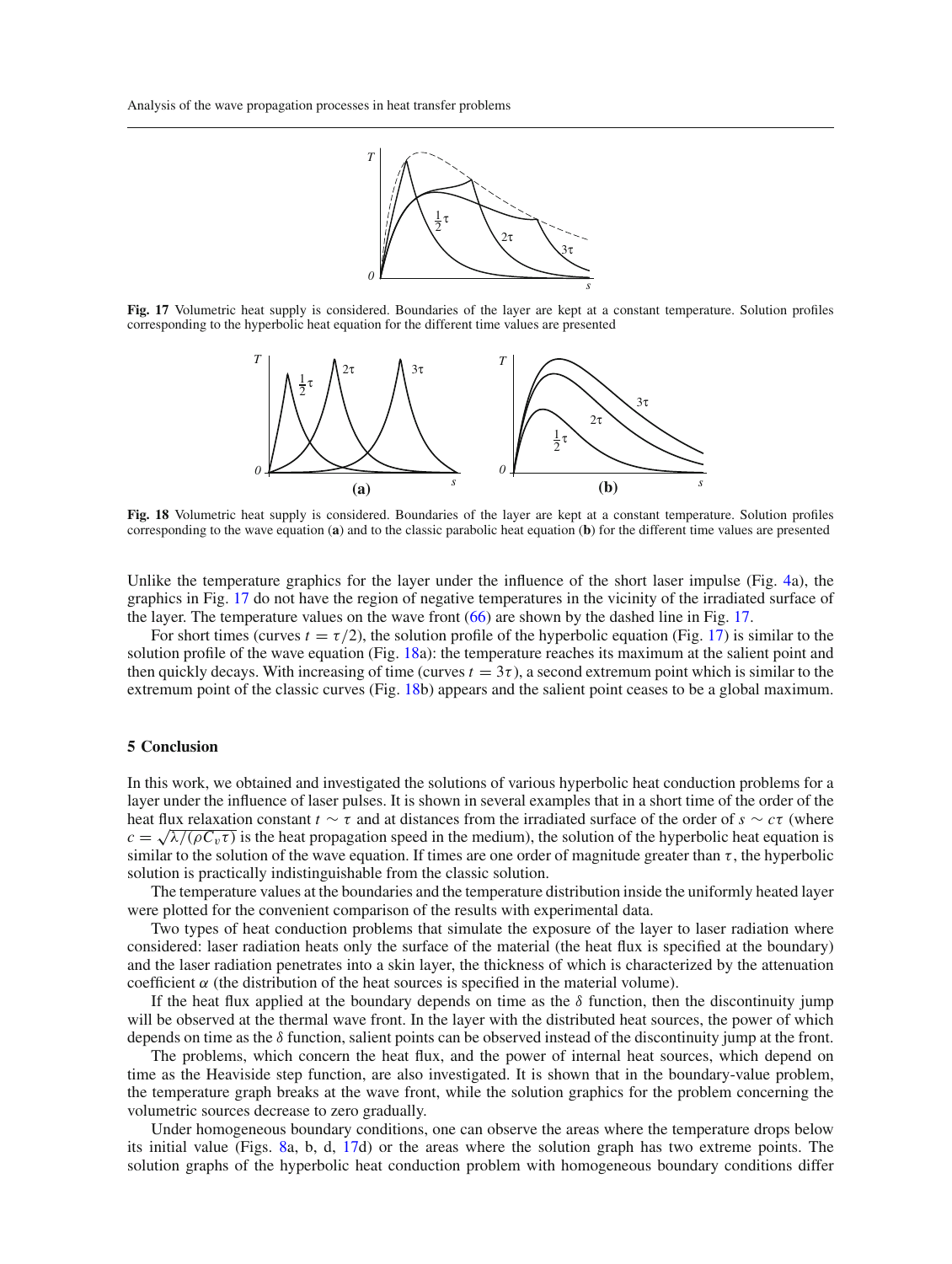

<span id="page-16-0"></span>**Fig. 17** Volumetric heat supply is considered. Boundaries of the layer are kept at a constant temperature. Solution profiles corresponding to the hyperbolic heat equation for the different time values are presented



<span id="page-16-1"></span>**Fig. 18** Volumetric heat supply is considered. Boundaries of the layer are kept at a constant temperature. Solution profiles corresponding to the wave equation (**a**) and to the classic parabolic heat equation (**b**) for the different time values are presented

Unlike the temperature graphics for the layer under the influence of the short laser impulse (Fig. [4a](#page-8-0)), the graphics in Fig. [17](#page-16-0) do not have the region of negative temperatures in the vicinity of the irradiated surface of the layer. The temperature values on the wave front [\(66\)](#page-14-1) are shown by the dashed line in Fig. [17.](#page-16-0)

For short times (curves  $t = \tau/2$ ), the solution profile of the hyperbolic equation (Fig. [17\)](#page-16-0) is similar to the solution profile of the wave equation (Fig. [18a](#page-16-1)): the temperature reaches its maximum at the salient point and then quickly decays. With increasing of time (curves  $t = 3\tau$ ), a second extremum point which is similar to the extremum point of the classic curves (Fig. [18b](#page-16-1)) appears and the salient point ceases to be a global maximum.

## **5 Conclusion**

In this work, we obtained and investigated the solutions of various hyperbolic heat conduction problems for a layer under the influence of laser pulses. It is shown in several examples that in a short time of the order of the heat flux relaxation constant  $t \sim \tau$  and at distances from the irradiated surface of the order of  $s \sim c\tau$  (where  $c = \sqrt{\lambda/(\rho C_v \tau)}$  is the heat propagation speed in the medium), the solution of the hyperbolic heat equation is similar to the solution of the wave equation. If times are one order of magnitude greater than  $\tau$ , the hyperbolic solution is practically indistinguishable from the classic solution.

The temperature values at the boundaries and the temperature distribution inside the uniformly heated layer were plotted for the convenient comparison of the results with experimental data.

Two types of heat conduction problems that simulate the exposure of the layer to laser radiation where considered: laser radiation heats only the surface of the material (the heat flux is specified at the boundary) and the laser radiation penetrates into a skin layer, the thickness of which is characterized by the attenuation coefficient  $\alpha$  (the distribution of the heat sources is specified in the material volume).

If the heat flux applied at the boundary depends on time as the  $\delta$  function, then the discontinuity jump will be observed at the thermal wave front. In the layer with the distributed heat sources, the power of which depends on time as the  $\delta$  function, salient points can be observed instead of the discontinuity jump at the front.

The problems, which concern the heat flux, and the power of internal heat sources, which depend on time as the Heaviside step function, are also investigated. It is shown that in the boundary-value problem, the temperature graph breaks at the wave front, while the solution graphics for the problem concerning the volumetric sources decrease to zero gradually.

Under homogeneous boundary conditions, one can observe the areas where the temperature drops below its initial value (Figs. [8a](#page-10-0), b, d, [17d](#page-16-0)) or the areas where the solution graph has two extreme points. The solution graphs of the hyperbolic heat conduction problem with homogeneous boundary conditions differ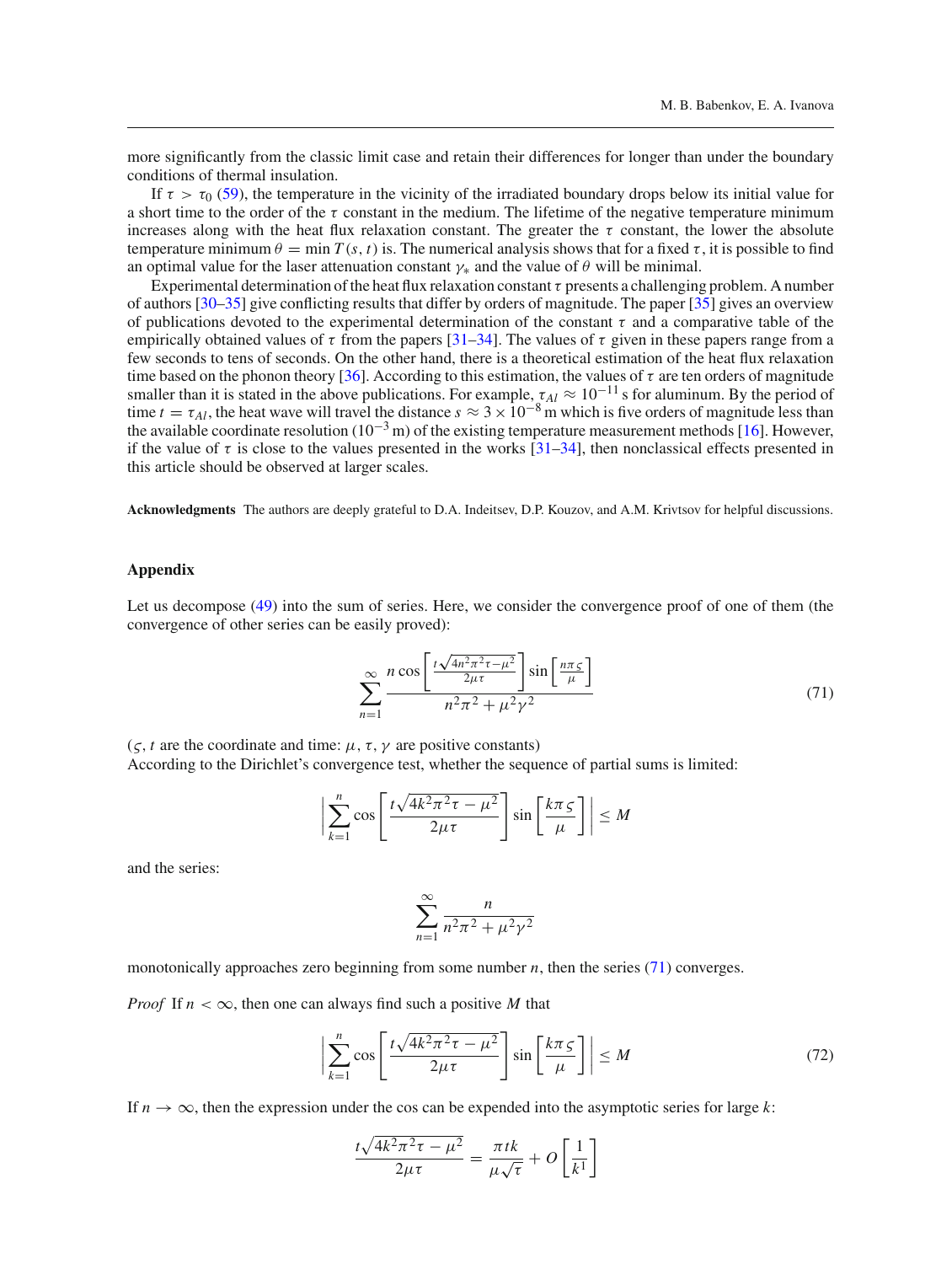more significantly from the classic limit case and retain their differences for longer than under the boundary conditions of thermal insulation.

If  $\tau > \tau_0$  [\(59\)](#page-11-4), the temperature in the vicinity of the irradiated boundary drops below its initial value for a short time to the order of the  $\tau$  constant in the medium. The lifetime of the negative temperature minimum increases along with the heat flux relaxation constant. The greater the  $\tau$  constant, the lower the absolute temperature minimum  $\theta = \min T(s, t)$  is. The numerical analysis shows that for a fixed  $\tau$ , it is possible to find an optimal value for the laser attenuation constant  $\gamma_*$  and the value of  $\theta$  will be minimal.

Experimental determination of the heat flux relaxation constant  $\tau$  presents a challenging problem. A number of authors [\[30](#page-19-19)[–35\]](#page-19-20) give conflicting results that differ by orders of magnitude. The paper [\[35\]](#page-19-20) gives an overview of publications devoted to the experimental determination of the constant  $\tau$  and a comparative table of the empirically obtained values of  $\tau$  from the papers [\[31](#page-19-21)[–34](#page-19-22)]. The values of  $\tau$  given in these papers range from a few seconds to tens of seconds. On the other hand, there is a theoretical estimation of the heat flux relaxation time based on the phonon theory [\[36\]](#page-19-23). According to this estimation, the values of  $\tau$  are ten orders of magnitude smaller than it is stated in the above publications. For example,  $\tau_{Al} \approx 10^{-11}$  s for aluminum. By the period of time *t* =  $\tau_{Al}$ , the heat wave will travel the distance  $s \approx 3 \times 10^{-8}$  m which is five orders of magnitude less than the available coordinate resolution ( $10^{-3}$  m) of the existing temperature measurement methods [\[16](#page-19-5)]. However, if the value of  $\tau$  is close to the values presented in the works [\[31](#page-19-21)[–34\]](#page-19-22), then nonclassical effects presented in this article should be observed at larger scales.

**Acknowledgments** The authors are deeply grateful to D.A. Indeitsev, D.P. Kouzov, and A.M. Krivtsov for helpful discussions.

## **Appendix**

Let us decompose [\(49\)](#page-9-5) into the sum of series. Here, we consider the convergence proof of one of them (the convergence of other series can be easily proved):

<span id="page-17-0"></span>
$$
\sum_{n=1}^{\infty} \frac{n \cos\left[\frac{t\sqrt{4n^2\pi^2\tau - \mu^2}}{2\mu\tau}\right] \sin\left[\frac{n\pi\varsigma}{\mu}\right]}{n^2\pi^2 + \mu^2\gamma^2}
$$
(71)

( $\zeta$ , *t* are the coordinate and time:  $\mu$ ,  $\tau$ ,  $\gamma$  are positive constants)

According to the Dirichlet's convergence test, whether the sequence of partial sums is limited:

$$
\left| \sum_{k=1}^{n} \cos \left[ \frac{t \sqrt{4k^2 \pi^2 \tau - \mu^2}}{2\mu \tau} \right] \sin \left[ \frac{k \pi \zeta}{\mu} \right] \right| \le M
$$

and the series:

$$
\sum_{n=1}^{\infty} \frac{n}{n^2 \pi^2 + \mu^2 \gamma^2}
$$

monotonically approaches zero beginning from some number *n*, then the series [\(71\)](#page-17-0) converges.

<span id="page-17-1"></span>*Proof* If  $n < \infty$ , then one can always find such a positive *M* that

$$
\left| \sum_{k=1}^{n} \cos \left[ \frac{t \sqrt{4k^2 \pi^2 \tau - \mu^2}}{2\mu \tau} \right] \sin \left[ \frac{k \pi \varsigma}{\mu} \right] \right| \le M \tag{72}
$$

If  $n \to \infty$ , then the expression under the cos can be expended into the asymptotic series for large *k*:

$$
\frac{t\sqrt{4k^2\pi^2\tau-\mu^2}}{2\mu\tau} = \frac{\pi tk}{\mu\sqrt{\tau}} + O\left[\frac{1}{k^1}\right]
$$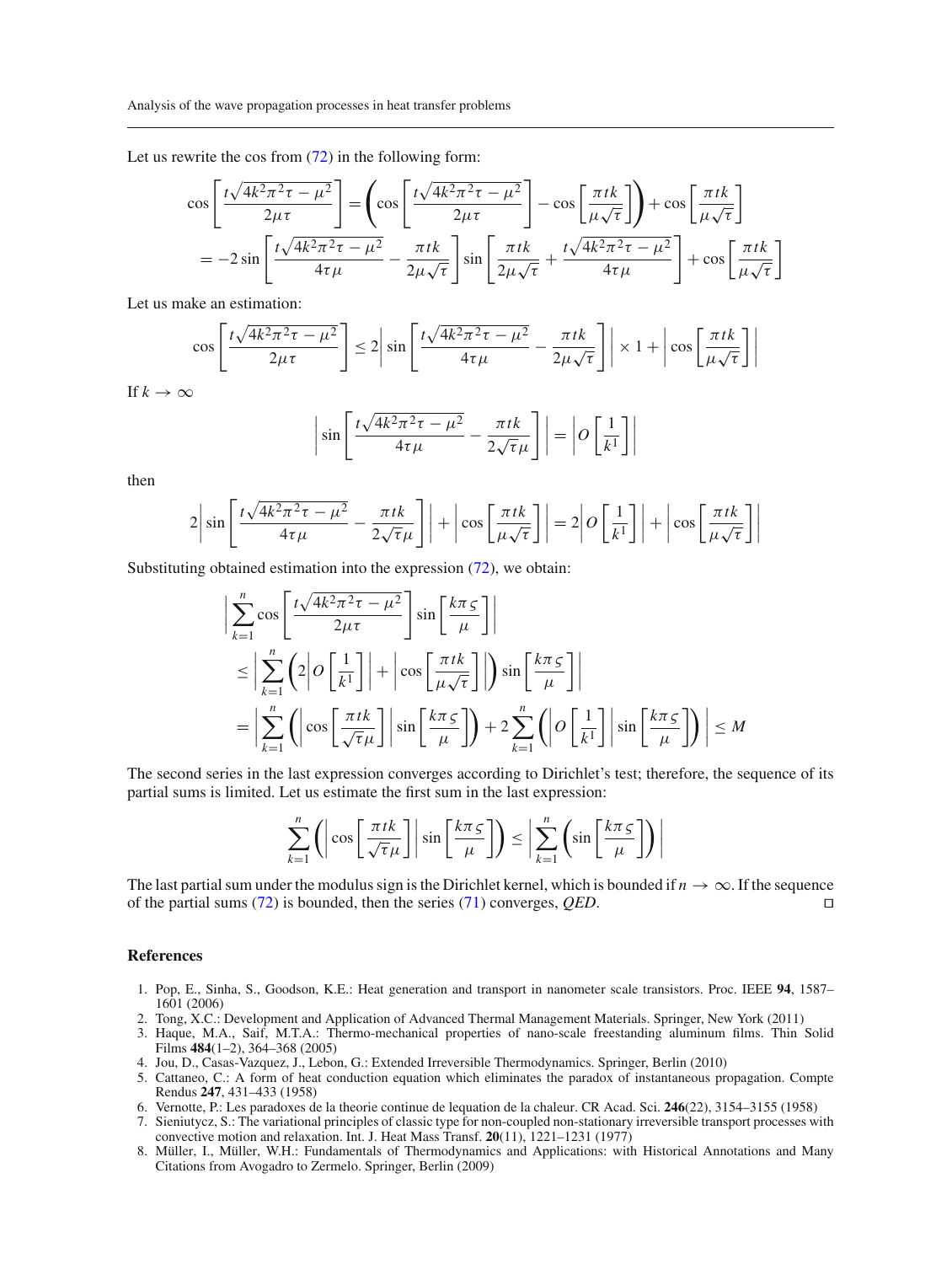Let us rewrite the cos from  $(72)$  in the following form:

$$
\cos\left[\frac{t\sqrt{4k^2\pi^2\tau-\mu^2}}{2\mu\tau}\right] = \left(\cos\left[\frac{t\sqrt{4k^2\pi^2\tau-\mu^2}}{2\mu\tau}\right] - \cos\left[\frac{\pi tk}{\mu\sqrt{\tau}}\right]\right) + \cos\left[\frac{\pi tk}{\mu\sqrt{\tau}}\right]
$$

$$
= -2\sin\left[\frac{t\sqrt{4k^2\pi^2\tau-\mu^2}}{4\tau\mu} - \frac{\pi tk}{2\mu\sqrt{\tau}}\right]\sin\left[\frac{\pi tk}{2\mu\sqrt{\tau}} + \frac{t\sqrt{4k^2\pi^2\tau-\mu^2}}{4\tau\mu}\right] + \cos\left[\frac{\pi tk}{\mu\sqrt{\tau}}\right]
$$

Let us make an estimation:

$$
\cos\left[\frac{t\sqrt{4k^2\pi^2\tau-\mu^2}}{2\mu\tau}\right] \le 2\left|\sin\left[\frac{t\sqrt{4k^2\pi^2\tau-\mu^2}}{4\tau\mu}-\frac{\pi tk}{2\mu\sqrt{\tau}}\right]\right| \times 1 + \left|\cos\left[\frac{\pi tk}{\mu\sqrt{\tau}}\right]\right|
$$

If  $k \to \infty$ 

$$
\left|\sin\left[\frac{t\sqrt{4k^2\pi^2\tau-\mu^2}}{4\tau\mu}-\frac{\pi tk}{2\sqrt{\tau}\mu}\right]\right| = \left|O\left[\frac{1}{k^1}\right]\right|
$$

then

$$
2\left|\sin\left[\frac{t\sqrt{4k^2\pi^2\tau-\mu^2}}{4\tau\mu}-\frac{\pi tk}{2\sqrt{\tau}\mu}\right]\right|+\left|\cos\left[\frac{\pi tk}{\mu\sqrt{\tau}}\right]\right|=2\left|O\left[\frac{1}{k^1}\right]\right|+\left|\cos\left[\frac{\pi tk}{\mu\sqrt{\tau}}\right]\right|
$$

Substituting obtained estimation into the expression [\(72\)](#page-17-1), we obtain:

$$
\left| \sum_{k=1}^{n} \cos \left[ \frac{t \sqrt{4k^2 \pi^2 \tau - \mu^2}}{2\mu \tau} \right] \sin \left[ \frac{k \pi \varsigma}{\mu} \right] \right|
$$
  
\n
$$
\leq \left| \sum_{k=1}^{n} \left( 2 \left| O \left[ \frac{1}{k^1} \right] \right| + \left| \cos \left[ \frac{\pi t k}{\mu \sqrt{\tau}} \right] \right| \right) \sin \left[ \frac{k \pi \varsigma}{\mu} \right] \right|
$$
  
\n
$$
= \left| \sum_{k=1}^{n} \left( \left| \cos \left[ \frac{\pi t k}{\sqrt{\tau \mu}} \right] \right| \sin \left[ \frac{k \pi \varsigma}{\mu} \right] \right) + 2 \sum_{k=1}^{n} \left( \left| O \left[ \frac{1}{k^1} \right] \right| \sin \left[ \frac{k \pi \varsigma}{\mu} \right] \right) \right| \leq M
$$

The second series in the last expression converges according to Dirichlet's test; therefore, the sequence of its partial sums is limited. Let us estimate the first sum in the last expression:

$$
\sum_{k=1}^{n} \left( \left| \cos \left[ \frac{\pi t k}{\sqrt{\tau} \mu} \right] \right| \sin \left[ \frac{k \pi \varsigma}{\mu} \right] \right) \le \left| \sum_{k=1}^{n} \left( \sin \left[ \frac{k \pi \varsigma}{\mu} \right] \right) \right|
$$

The last partial sum under the modulus sign is the Dirichlet kernel, which is bounded if  $n \to \infty$ . If the sequence of the partial sums (72) is bounded then the series (71) converges *OED* of the partial sums [\(72\)](#page-17-1) is bounded, then the series [\(71\)](#page-17-0) converges, *QED*.

## <span id="page-18-0"></span>**References**

- 1. Pop, E., Sinha, S., Goodson, K.E.: Heat generation and transport in nanometer scale transistors. Proc. IEEE **94**, 1587– 1601 (2006)
- <span id="page-18-1"></span>2. Tong, X.C.: Development and Application of Advanced Thermal Management Materials. Springer, New York (2011)
- <span id="page-18-2"></span>3. Haque, M.A., Saif, M.T.A.: Thermo-mechanical properties of nano-scale freestanding aluminum films. Thin Solid Films **484**(1–2), 364–368 (2005)
- <span id="page-18-3"></span>4. Jou, D., Casas-Vazquez, J., Lebon, G.: Extended Irreversible Thermodynamics. Springer, Berlin (2010)
- <span id="page-18-4"></span>5. Cattaneo, C.: A form of heat conduction equation which eliminates the paradox of instantaneous propagation. Compte Rendus **247**, 431–433 (1958)
- <span id="page-18-5"></span>6. Vernotte, P.: Les paradoxes de la theorie continue de lequation de la chaleur. CR Acad. Sci. **246**(22), 3154–3155 (1958)
- <span id="page-18-6"></span>7. Sieniutycz, S.: The variational principles of classic type for non-coupled non-stationary irreversible transport processes with convective motion and relaxation. Int. J. Heat Mass Transf. **20**(11), 1221–1231 (1977)
- <span id="page-18-7"></span>8. Müller, I., Müller, W.H.: Fundamentals of Thermodynamics and Applications: with Historical Annotations and Many Citations from Avogadro to Zermelo. Springer, Berlin (2009)